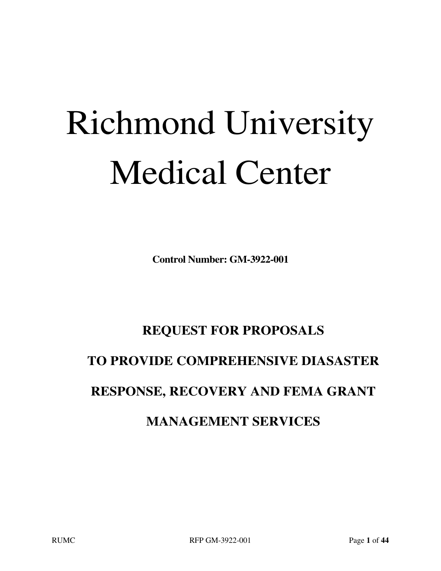# Richmond University Medical Center

**Control Number: GM-3922-001**

# **REQUEST FOR PROPOSALS**

# **TO PROVIDE COMPREHENSIVE DIASASTER**

# **RESPONSE, RECOVERY AND FEMA GRANT**

# **MANAGEMENT SERVICES**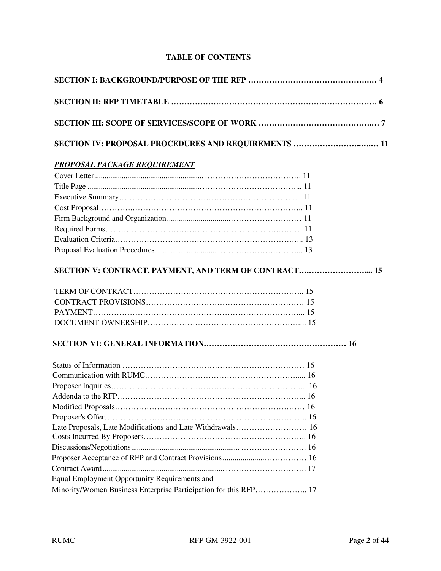# **TABLE OF CONTENTS**

| <b>SECTION IV: PROPOSAL PROCEDURES AND REQUIREMENTS  11</b> |  |  |  |  |
|-------------------------------------------------------------|--|--|--|--|
| <b>PROPOSAL PACKAGE REQUIREMENT</b>                         |  |  |  |  |
|                                                             |  |  |  |  |
|                                                             |  |  |  |  |
|                                                             |  |  |  |  |
|                                                             |  |  |  |  |
|                                                             |  |  |  |  |
|                                                             |  |  |  |  |
|                                                             |  |  |  |  |
|                                                             |  |  |  |  |
| SECTION V: CONTRACT, PAYMENT, AND TERM OF CONTRACT 15       |  |  |  |  |
|                                                             |  |  |  |  |
|                                                             |  |  |  |  |
|                                                             |  |  |  |  |
|                                                             |  |  |  |  |
|                                                             |  |  |  |  |
|                                                             |  |  |  |  |
|                                                             |  |  |  |  |
|                                                             |  |  |  |  |
|                                                             |  |  |  |  |
|                                                             |  |  |  |  |
|                                                             |  |  |  |  |
| Late Proposals, Late Modifications and Late Withdrawals 16  |  |  |  |  |
|                                                             |  |  |  |  |
|                                                             |  |  |  |  |
|                                                             |  |  |  |  |
|                                                             |  |  |  |  |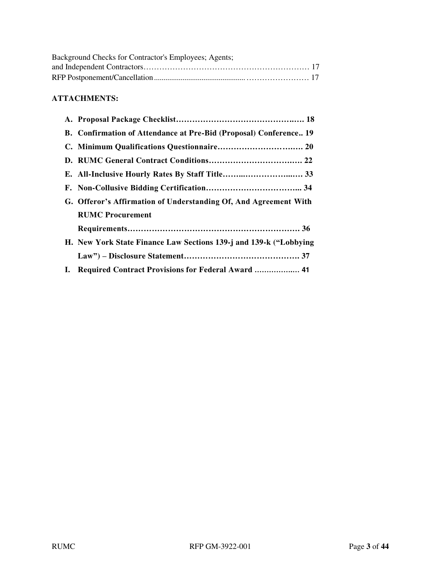| Background Checks for Contractor's Employees; Agents; |  |
|-------------------------------------------------------|--|
|                                                       |  |
|                                                       |  |

# **ATTACHMENTS:**

|    | B. Confirmation of Attendance at Pre-Bid (Proposal) Conference 19 |
|----|-------------------------------------------------------------------|
|    |                                                                   |
|    |                                                                   |
|    |                                                                   |
|    |                                                                   |
|    | G. Offeror's Affirmation of Understanding Of, And Agreement With  |
|    | <b>RUMC Procurement</b>                                           |
|    |                                                                   |
|    | H. New York State Finance Law Sections 139-j and 139-k ("Lobbying |
|    |                                                                   |
| I. | Required Contract Provisions for Federal Award  41                |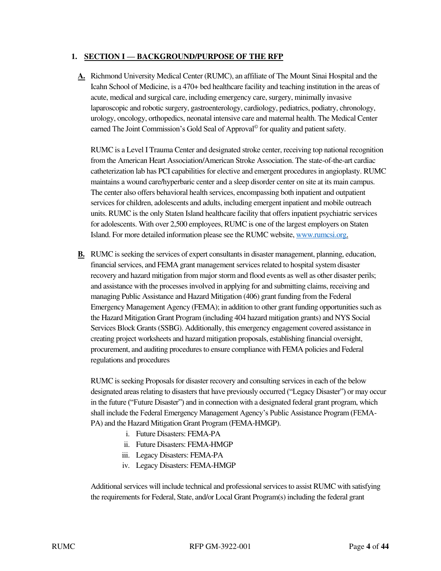#### 1. **SECTION I — BACKGROUND/PURPOSE OF THE RFP**

**A.** Richmond University Medical Center (RUMC), an affiliate of The Mount Sinai Hospital and the Icahn School of Medicine, is a 470+ bed healthcare facility and teaching institution in the areas of acute, medical and surgical care, including emergency care, surgery, minimally invasive laparoscopic and robotic surgery, gastroenterology, cardiology, pediatrics, podiatry, chronology, urology, oncology, orthopedics, neonatal intensive care and maternal health. The Medical Center earned The Joint Commission's Gold Seal of Approval© for quality and patient safety.

RUMC is a Level I Trauma Center and designated stroke center, receiving top national recognition from the American Heart Association/American Stroke Association. The state-of-the-art cardiac catheterization lab has PCI capabilities for elective and emergent procedures in angioplasty. RUMC maintains a wound care/hyperbaric center and a sleep disorder center on site at its main campus. The center also offers behavioral health services, encompassing both inpatient and outpatient services for children, adolescents and adults, including emergent inpatient and mobile outreach units. RUMC is the only Staten Island healthcare facility that offers inpatient psychiatric services for adolescents. With over 2,500 employees, RUMC is one of the largest employers on Staten Island. For more detailed information please see the RUMC website[, www.rumcsi.org.](http://www.rumcsi.org/)

**B.** RUMC is seeking the services of expert consultants in disaster management, planning, education, financial services, and FEMA grant management services related to hospital system disaster recovery and hazard mitigation from major storm and flood events as well as other disaster perils; and assistance with the processes involved in applying for and submitting claims, receiving and managing Public Assistance and Hazard Mitigation (406) grant funding from the Federal Emergency Management Agency (FEMA); in addition to other grant funding opportunities such as the Hazard Mitigation Grant Program (including 404 hazard mitigation grants) and NYS Social Services Block Grants (SSBG). Additionally, this emergency engagement covered assistance in creating project worksheets and hazard mitigation proposals, establishing financial oversight, procurement, and auditing procedures to ensure compliance with FEMA policies and Federal regulations and procedures

RUMC is seeking Proposals for disaster recovery and consulting services in each of the below designated areas relating to disasters that have previously occurred ("Legacy Disaster") or may occur in the future ("Future Disaster") and in connection with a designated federal grant program, which shall include the Federal Emergency Management Agency's Public Assistance Program (FEMA-PA) and the Hazard Mitigation Grant Program (FEMA-HMGP).

- i. Future Disasters: FEMA-PA
- ii. Future Disasters: FEMA-HMGP
- iii. Legacy Disasters: FEMA-PA
- iv. Legacy Disasters: FEMA-HMGP

Additional services will include technical and professional services to assist RUMC with satisfying the requirements for Federal, State, and/or Local Grant Program(s) including the federal grant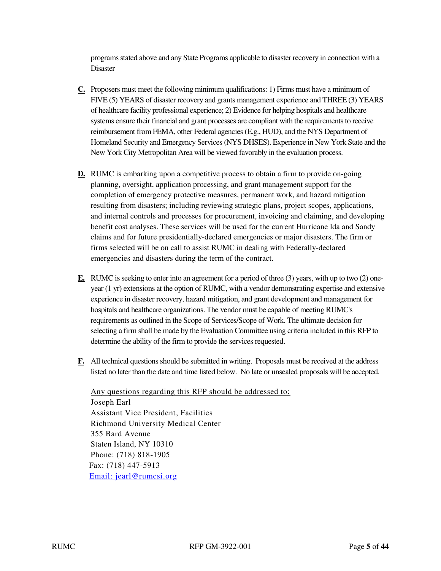programs stated above and any State Programs applicable to disaster recovery in connection with a Disaster

- **C.** Proposers must meet the following minimum qualifications: 1) Firms must have a minimum of FIVE (5) YEARS of disaster recovery and grants management experience and THREE (3) YEARS of healthcare facility professional experience; 2) Evidence for helping hospitals and healthcare systems ensure their financial and grant processes are compliant with the requirements to receive reimbursement from FEMA, other Federal agencies (E.g., HUD), and the NYS Department of Homeland Security and Emergency Services (NYS DHSES). Experience in New York State and the New York City Metropolitan Area will be viewed favorably in the evaluation process.
- **D.** RUMC is embarking upon a competitive process to obtain a firm to provide on-going planning, oversight, application processing, and grant management support for the completion of emergency protective measures, permanent work, and hazard mitigation resulting from disasters; including reviewing strategic plans, project scopes, applications, and internal controls and processes for procurement, invoicing and claiming, and developing benefit cost analyses. These services will be used for the current Hurricane Ida and Sandy claims and for future presidentially-declared emergencies or major disasters. The firm or firms selected will be on call to assist RUMC in dealing with Federally-declared emergencies and disasters during the term of the contract.
- **E.** RUMC is seeking to enter into an agreement for a period of three (3) years, with up to two (2) oneyear (1 yr) extensions at the option of RUMC, with a vendor demonstrating expertise and extensive experience in disaster recovery, hazard mitigation, and grant development and management for hospitals and healthcare organizations. The vendor must be capable of meeting RUMC's requirements as outlined in the Scope of Services/Scope of Work. The ultimate decision for selecting a firm shall be made by the Evaluation Committee using criteria included in this RFP to determine the ability of the firm to provide the services requested.
- **F.** All technical questions should be submitted in writing. Proposals must be received at the address listed no later than the date and time listed below. No late or unsealed proposals will be accepted.

Any questions regarding this RFP should be addressed to: Joseph Earl Assistant Vice President, Facilities Richmond University Medical Center 355 Bard Avenue Staten Island, NY 10310 Phone: (718) 818-1905 Fax: (718) 447-5913 [Email: j](mailto:alice.berkowitz@nychhc.org)earl@rumcsi.org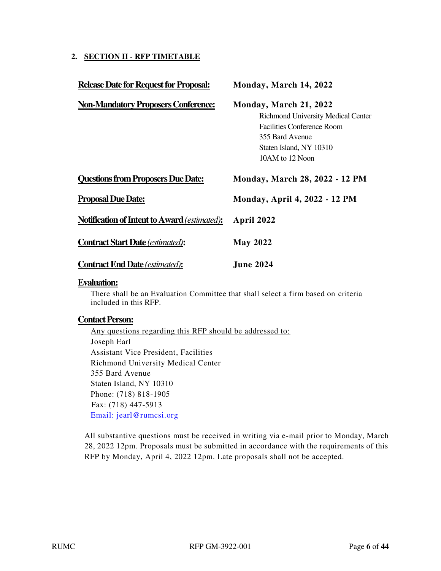# **2. SECTION II - RFP TIMETABLE**

| <b>Release Date for Request for Proposal:</b>       | Monday, March 14, 2022                                                                                                                                             |
|-----------------------------------------------------|--------------------------------------------------------------------------------------------------------------------------------------------------------------------|
| <b>Non-Mandatory Proposers Conference:</b>          | Monday, March 21, 2022<br>Richmond University Medical Center<br><b>Facilities Conference Room</b><br>355 Bard Avenue<br>Staten Island, NY 10310<br>10AM to 12 Noon |
| <b>Questions from Proposers Due Date:</b>           | <b>Monday, March 28, 2022 - 12 PM</b>                                                                                                                              |
| <b>Proposal Due Date:</b>                           | <b>Monday, April 4, 2022 - 12 PM</b>                                                                                                                               |
| <b>Notification of Intent to Award (estimated):</b> | April 2022                                                                                                                                                         |
| <b>Contract Start Date (estimated):</b>             | <b>May 2022</b>                                                                                                                                                    |
| <b>Contract End Date (estimated):</b>               | <b>June 2024</b>                                                                                                                                                   |
|                                                     |                                                                                                                                                                    |

#### **Evaluation:**

There shall be an Evaluation Committee that shall select a firm based on criteria included in this RFP.

#### **Contact Person:**

Any questions regarding this RFP should be addressed to: Joseph Earl Assistant Vice President, Facilities Richmond University Medical Center 355 Bard Avenue Staten Island, NY 10310 Phone: (718) 818-1905 Fax: (718) 447-5913 [Email: j](mailto:alice.berkowitz@nychhc.org)earl@rumcsi.org

All substantive questions must be received in writing via e-mail prior to Monday, March 28, 2022 12pm. Proposals must be submitted in accordance with the requirements of this RFP by Monday, April 4, 2022 12pm. Late proposals shall not be accepted.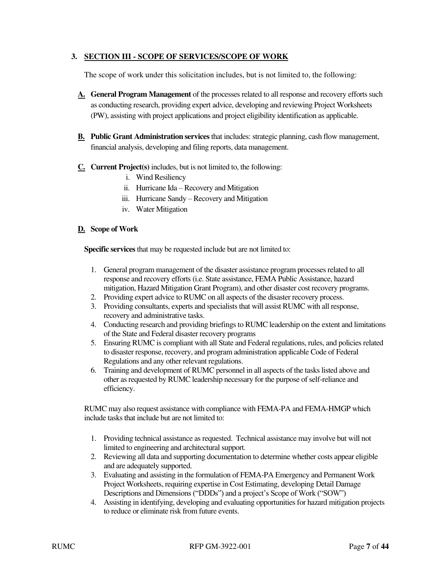# **3. SECTION III - SCOPE OF SERVICES/SCOPE OF WORK**

The scope of work under this solicitation includes, but is not limited to, the following:

- **A. General Program Management** of the processes related to all response and recovery efforts such as conducting research, providing expert advice, developing and reviewing Project Worksheets (PW), assisting with project applications and project eligibility identification as applicable.
- **B. Public Grant Administration services** that includes: strategic planning, cash flow management, financial analysis, developing and filing reports, data management.
- **C. Current Project(s)** includes, but is not limited to, the following:
	- i. Wind Resiliency
	- ii. Hurricane Ida Recovery and Mitigation
	- iii. Hurricane Sandy Recovery and Mitigation
	- iv. Water Mitigation

#### **D. Scope of Work**

**Specific services** that may be requested include but are not limited to:

- 1. General program management of the disaster assistance program processes related to all response and recovery efforts (i.e. State assistance, FEMA Public Assistance, hazard mitigation, Hazard Mitigation Grant Program), and other disaster cost recovery programs.
- 2. Providing expert advice to RUMC on all aspects of the disaster recovery process.
- 3. Providing consultants, experts and specialists that will assist RUMC with all response, recovery and administrative tasks.
- 4. Conducting research and providing briefings to RUMC leadership on the extent and limitations of the State and Federal disaster recovery programs
- 5. Ensuring RUMC is compliant with all State and Federal regulations, rules, and policies related to disaster response, recovery, and program administration applicable Code of Federal Regulations and any other relevant regulations.
- 6. Training and development of RUMC personnel in all aspects of the tasks listed above and other as requested by RUMC leadership necessary for the purpose of self-reliance and efficiency.

RUMC may also request assistance with compliance with FEMA-PA and FEMA-HMGP which include tasks that include but are not limited to:

- 1. Providing technical assistance as requested. Technical assistance may involve but will not limited to engineering and architectural support.
- 2. Reviewing all data and supporting documentation to determine whether costs appear eligible and are adequately supported.
- 3. Evaluating and assisting in the formulation of FEMA-PA Emergency and Permanent Work Project Worksheets, requiring expertise in Cost Estimating, developing Detail Damage Descriptions and Dimensions ("DDDs") and a project's Scope of Work ("SOW")
- 4. Assisting in identifying, developing and evaluating opportunities for hazard mitigation projects to reduce or eliminate risk from future events.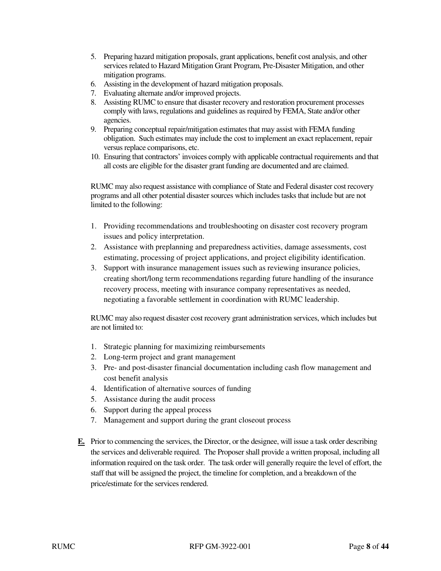- 5. Preparing hazard mitigation proposals, grant applications, benefit cost analysis, and other services related to Hazard Mitigation Grant Program, Pre-Disaster Mitigation, and other mitigation programs.
- 6. Assisting in the development of hazard mitigation proposals.
- 7. Evaluating alternate and/or improved projects.
- 8. Assisting RUMC to ensure that disaster recovery and restoration procurement processes comply with laws, regulations and guidelines as required by FEMA, State and/or other agencies.
- 9. Preparing conceptual repair/mitigation estimates that may assist with FEMA funding obligation. Such estimates may include the cost to implement an exact replacement, repair versus replace comparisons, etc.
- 10. Ensuring that contractors' invoices comply with applicable contractual requirements and that all costs are eligible for the disaster grant funding are documented and are claimed.

RUMC may also request assistance with compliance of State and Federal disaster cost recovery programs and all other potential disaster sources which includes tasks that include but are not limited to the following:

- 1. Providing recommendations and troubleshooting on disaster cost recovery program issues and policy interpretation.
- 2. Assistance with preplanning and preparedness activities, damage assessments, cost estimating, processing of project applications, and project eligibility identification.
- 3. Support with insurance management issues such as reviewing insurance policies, creating short/long term recommendations regarding future handling of the insurance recovery process, meeting with insurance company representatives as needed, negotiating a favorable settlement in coordination with RUMC leadership.

RUMC may also request disaster cost recovery grant administration services, which includes but are not limited to:

- 1. Strategic planning for maximizing reimbursements
- 2. Long-term project and grant management
- 3. Pre- and post-disaster financial documentation including cash flow management and cost benefit analysis
- 4. Identification of alternative sources of funding
- 5. Assistance during the audit process
- 6. Support during the appeal process
- 7. Management and support during the grant closeout process
- **E.** Prior to commencing the services, the Director, or the designee, will issue a task order describing the services and deliverable required. The Proposer shall provide a written proposal, including all information required on the task order. The task order will generally require the level of effort, the staff that will be assigned the project, the timeline for completion, and a breakdown of the price/estimate for the services rendered.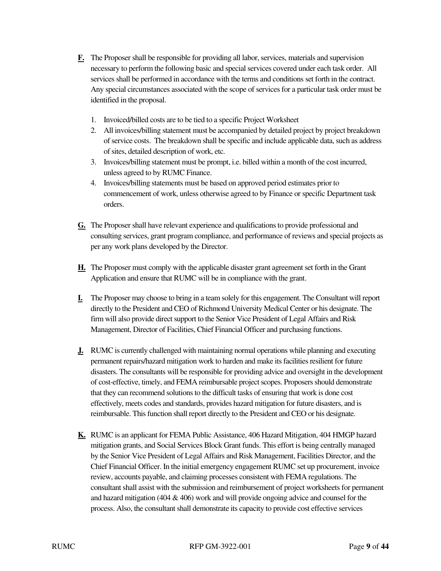- **F.** The Proposer shall be responsible for providing all labor, services, materials and supervision necessary to perform the following basic and special services covered under each task order. All services shall be performed in accordance with the terms and conditions set forth in the contract. Any special circumstances associated with the scope of services for a particular task order must be identified in the proposal.
	- 1. Invoiced/billed costs are to be tied to a specific Project Worksheet
	- 2. All invoices/billing statement must be accompanied by detailed project by project breakdown of service costs. The breakdown shall be specific and include applicable data, such as address of sites, detailed description of work, etc.
	- 3. Invoices/billing statement must be prompt, i.e. billed within a month of the cost incurred, unless agreed to by RUMC Finance.
	- 4. Invoices/billing statements must be based on approved period estimates prior to commencement of work, unless otherwise agreed to by Finance or specific Department task orders.
- **G.** The Proposer shall have relevant experience and qualifications to provide professional and consulting services, grant program compliance, and performance of reviews and special projects as per any work plans developed by the Director.
- **H.** The Proposer must comply with the applicable disaster grant agreement set forth in the Grant Application and ensure that RUMC will be in compliance with the grant.
- **I.** The Proposer may choose to bring in a team solely for this engagement. The Consultant will report directly to the President and CEO of Richmond University Medical Center or his designate. The firm will also provide direct support to the Senior Vice President of Legal Affairs and Risk Management, Director of Facilities, Chief Financial Officer and purchasing functions.
- **J.** RUMC is currently challenged with maintaining normal operations while planning and executing permanent repairs/hazard mitigation work to harden and make its facilities resilient for future disasters. The consultants will be responsible for providing advice and oversight in the development of cost-effective, timely, and FEMA reimbursable project scopes. Proposers should demonstrate that they can recommend solutions to the difficult tasks of ensuring that work is done cost effectively, meets codes and standards, provides hazard mitigation for future disasters, and is reimbursable. This function shall report directly to the President and CEO or his designate.
- **K.** RUMC is an applicant for FEMA Public Assistance, 406 Hazard Mitigation, 404 HMGP hazard mitigation grants, and Social Services Block Grant funds. This effort is being centrally managed by the Senior Vice President of Legal Affairs and Risk Management, Facilities Director, and the Chief Financial Officer. In the initial emergency engagement RUMC set up procurement, invoice review, accounts payable, and claiming processes consistent with FEMA regulations. The consultant shall assist with the submission and reimbursement of project worksheets for permanent and hazard mitigation (404 & 406) work and will provide ongoing advice and counsel for the process. Also, the consultant shall demonstrate its capacity to provide cost effective services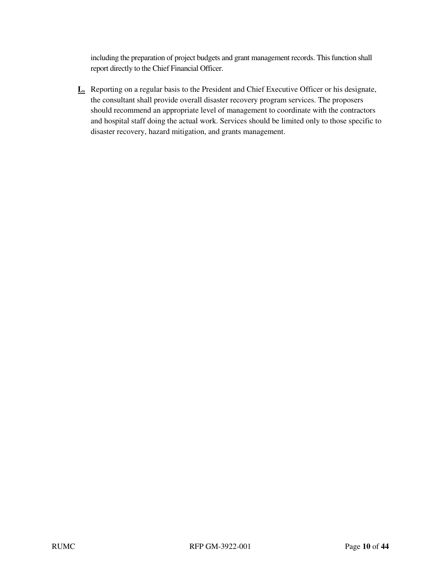including the preparation of project budgets and grant management records. This function shall report directly to the Chief Financial Officer.

**L.** Reporting on a regular basis to the President and Chief Executive Officer or his designate, the consultant shall provide overall disaster recovery program services. The proposers should recommend an appropriate level of management to coordinate with the contractors and hospital staff doing the actual work. Services should be limited only to those specific to disaster recovery, hazard mitigation, and grants management.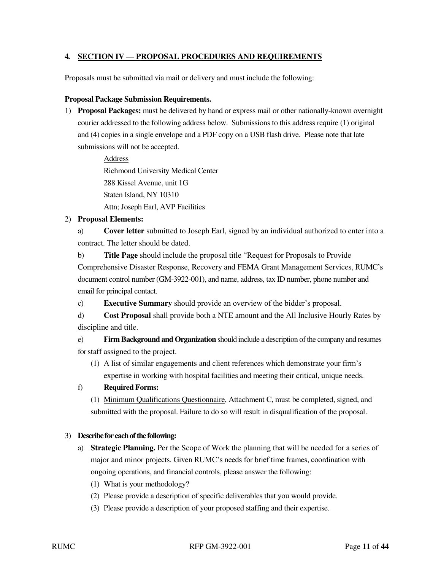# **4. SECTION IV — PROPOSAL PROCEDURES AND REQUIREMENTS**

Proposals must be submitted via mail or delivery and must include the following:

#### **Proposal Package Submission Requirements.**

1) **Proposal Packages:** must be delivered by hand or express mail or other nationally-known overnight courier addressed to the following address below. Submissions to this address require (1) original and (4) copies in a single envelope and a PDF copy on a USB flash drive. Please note that late submissions will not be accepted.

> Address Richmond University Medical Center 288 Kissel Avenue, unit 1G Staten Island, NY 10310 Attn; Joseph Earl, AVP Facilities

#### 2) **Proposal Elements:**

a) **Cover letter** submitted to Joseph Earl, signed by an individual authorized to enter into a contract. The letter should be dated.

b) **Title Page** should include the proposal title "Request for Proposals to Provide Comprehensive Disaster Response, Recovery and FEMA Grant Management Services, RUMC's document control number (GM-3922-001), and name, address, tax ID number, phone number and email for principal contact.

c) **Executive Summary** should provide an overview of the bidder's proposal.

d) **Cost Proposal** shall provide both a NTE amount and the All Inclusive Hourly Rates by discipline and title.

e) **Firm Background and Organization** should include a description of the company and resumes for staff assigned to the project.

(1) A list of similar engagements and client references which demonstrate your firm's expertise in working with hospital facilities and meeting their critical, unique needs.

#### f) **Required Forms:**

(1) Minimum Qualifications Questionnaire, Attachment C, must be completed, signed, and submitted with the proposal. Failure to do so will result in disqualification of the proposal.

#### 3) **Describe for each of the following:**

- a) **Strategic Planning.** Per the Scope of Work the planning that will be needed for a series of major and minor projects. Given RUMC's needs for brief time frames, coordination with ongoing operations, and financial controls, please answer the following:
	- (1) What is your methodology?
	- (2) Please provide a description of specific deliverables that you would provide.
	- (3) Please provide a description of your proposed staffing and their expertise.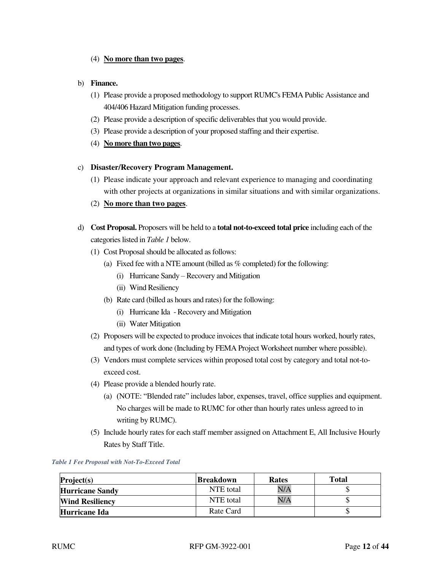#### (4) **No more than two pages**.

#### b) **Finance.**

- (1) Please provide a proposed methodology to support RUMC's FEMA Public Assistance and 404/406 Hazard Mitigation funding processes.
- (2) Please provide a description of specific deliverables that you would provide.
- (3) Please provide a description of your proposed staffing and their expertise.
- (4) **No more than two pages**.

#### c) **Disaster/Recovery Program Management.**

- (1) Please indicate your approach and relevant experience to managing and coordinating with other projects at organizations in similar situations and with similar organizations.
- (2) **No more than two pages**.
- d) **Cost Proposal.** Proposers will be held to a **total not-to-exceed total price** including each of the categories listed in *Table 1* below.
	- (1) Cost Proposal should be allocated as follows:
		- (a) Fixed fee with a NTE amount (billed as % completed) for the following:
			- (i) Hurricane Sandy Recovery and Mitigation
			- (ii) Wind Resiliency
		- (b) Rate card (billed as hours and rates) for the following:
			- (i) Hurricane Ida Recovery and Mitigation
			- (ii) Water Mitigation
	- (2) Proposers will be expected to produce invoices that indicate total hours worked, hourly rates, and types of work done (Including by FEMA Project Worksheet number where possible).
	- (3) Vendors must complete services within proposed total cost by category and total not-toexceed cost.
	- (4) Please provide a blended hourly rate.
		- (a) (NOTE: "Blended rate" includes labor, expenses, travel, office supplies and equipment. No charges will be made to RUMC for other than hourly rates unless agreed to in writing by RUMC).
	- (5) Include hourly rates for each staff member assigned on Attachment E, All Inclusive Hourly Rates by Staff Title.

*Table 1 Fee Proposal with Not-To-Exceed Total* 

| Project(s)             | <b>Breakdown</b> | <b>Rates</b> | <b>Total</b> |
|------------------------|------------------|--------------|--------------|
| <b>Hurricane Sandy</b> | NTE total        | N/A          |              |
| <b>Wind Resiliency</b> | NTE total        | N/A          |              |
| Hurricane Ida          | Rate Card        |              |              |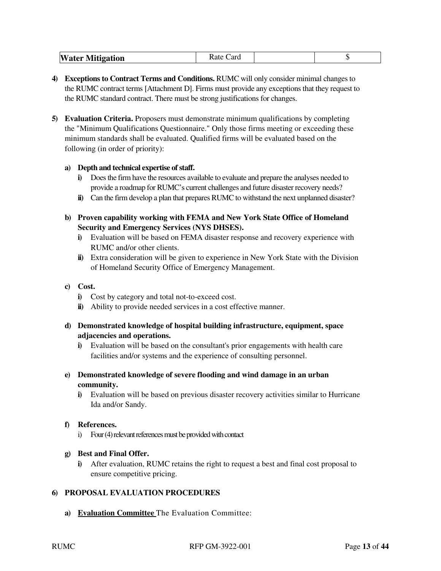- **4) Exceptions to Contract Terms and Conditions.** RUMC will only consider minimal changes to the RUMC contract terms [Attachment D]. Firms must provide any exceptions that they request to the RUMC standard contract. There must be strong justifications for changes.
- **5) Evaluation Criteria.** Proposers must demonstrate minimum qualifications by completing the "Minimum Qualifications Questionnaire." Only those firms meeting or exceeding these minimum standards shall be evaluated. Qualified firms will be evaluated based on the following (in order of priority):

# **a) Depth and technical expertise of staff.**

- **i)** Does the firm have the resources available to evaluate and prepare the analyses needed to provide a roadmap for RUMC's current challenges and future disaster recovery needs?
- **ii)** Can the firm develop a plan that prepares RUMC to withstand the next unplanned disaster?
- **b) Proven capability working with FEMA and New York State Office of Homeland Security and Emergency Services (NYS DHSES).** 
	- **i)** Evaluation will be based on FEMA disaster response and recovery experience with RUMC and/or other clients.
	- **ii)** Extra consideration will be given to experience in New York State with the Division of Homeland Security Office of Emergency Management.

#### **c) Cost.**

- **i)** Cost by category and total not-to-exceed cost.
- **ii**) Ability to provide needed services in a cost effective manner.
- **d) Demonstrated knowledge of hospital building infrastructure, equipment, space adjacencies and operations.** 
	- **i)** Evaluation will be based on the consultant's prior engagements with health care facilities and/or systems and the experience of consulting personnel.
- **e) Demonstrated knowledge of severe flooding and wind damage in an urban community.** 
	- **i)** Evaluation will be based on previous disaster recovery activities similar to Hurricane Ida and/or Sandy.

# **f) References.**

i) Four (4) relevant references must be provided with contact

#### **g) Best and Final Offer.**

**i)** After evaluation, RUMC retains the right to request a best and final cost proposal to ensure competitive pricing.

# **6) PROPOSAL EVALUATION PROCEDURES**

**a) Evaluation Committee** The Evaluation Committee: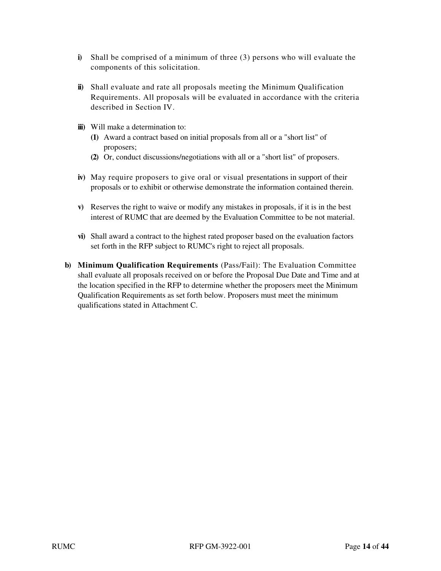- **i)** Shall be comprised of a minimum of three (3) persons who will evaluate the components of this solicitation.
- **ii)** Shall evaluate and rate all proposals meeting the Minimum Qualification Requirements. All proposals will be evaluated in accordance with the criteria described in Section IV.
- **iii)** Will make a determination to:
	- **(1)** Award a contract based on initial proposals from all or a "short list" of proposers;
	- **(2)** Or, conduct discussions/negotiations with all or a "short list" of proposers.
- **iv)** May require proposers to give oral or visual presentations in support of their proposals or to exhibit or otherwise demonstrate the information contained therein.
- **v)** Reserves the right to waive or modify any mistakes in proposals, if it is in the best interest of RUMC that are deemed by the Evaluation Committee to be not material.
- **vi)** Shall award a contract to the highest rated proposer based on the evaluation factors set forth in the RFP subject to RUMC's right to reject all proposals.
- **b) Minimum Qualification Requirements** (Pass/Fail): The Evaluation Committee shall evaluate all proposals received on or before the Proposal Due Date and Time and at the location specified in the RFP to determine whether the proposers meet the Minimum Qualification Requirements as set forth below. Proposers must meet the minimum qualifications stated in Attachment C.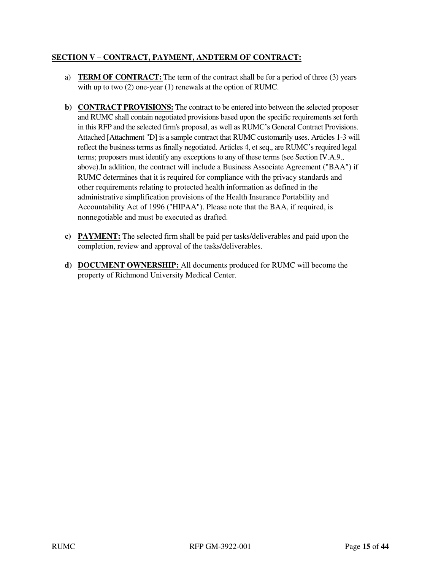# **SECTION V – CONTRACT, PAYMENT, ANDTERM OF CONTRACT:**

- a) **TERM OF CONTRACT:** The term of the contract shall be for a period of three (3) years with up to two (2) one-year (1) renewals at the option of RUMC.
- **b) CONTRACT PROVISIONS:** The contract to be entered into between the selected proposer and RUMC shall contain negotiated provisions based upon the specific requirements set forth in this RFP and the selected firm's proposal, as well as RUMC's General Contract Provisions. Attached [Attachment "D] is a sample contract that RUMC customarily uses. Articles 1-3 will reflect the business terms as finally negotiated. Articles 4, et seq., are RUMC's required legal terms; proposers must identify any exceptions to any of these terms (see Section IV.A.9., above).In addition, the contract will include a Business Associate Agreement ("BAA") if RUMC determines that it is required for compliance with the privacy standards and other requirements relating to protected health information as defined in the administrative simplification provisions of the Health Insurance Portability and Accountability Act of 1996 ("HIPAA"). Please note that the BAA, if required, is nonnegotiable and must be executed as drafted.
- **c) PAYMENT:** The selected firm shall be paid per tasks/deliverables and paid upon the completion, review and approval of the tasks/deliverables.
- **d) DOCUMENT OWNERSHIP:** All documents produced for RUMC will become the property of Richmond University Medical Center.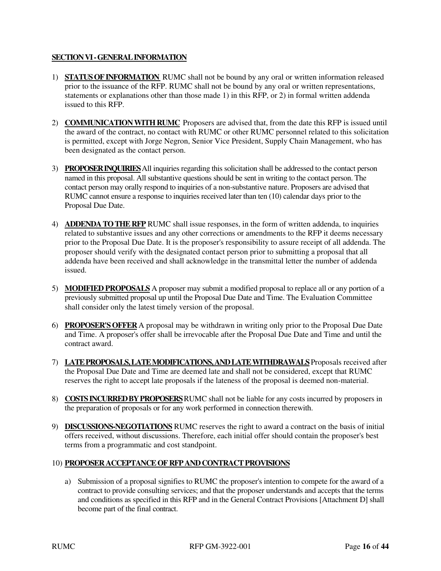# **SECTION VI - GENERAL INFORMATION**

- 1) **STATUS OF INFORMATION** RUMC shall not be bound by any oral or written information released prior to the issuance of the RFP. RUMC shall not be bound by any oral or written representations, statements or explanations other than those made 1) in this RFP, or 2) in formal written addenda issued to this RFP.
- 2) **COMMUNICATION WITH RUMC** Proposers are advised that, from the date this RFP is issued until the award of the contract, no contact with RUMC or other RUMC personnel related to this solicitation is permitted, except with Jorge Negron, Senior Vice President, Supply Chain Management, who has been designated as the contact person.
- 3) **PROPOSER INQUIRIES** All inquiries regarding this solicitation shall be addressed to the contact person named in this proposal. All substantive questions should be sent in writing to the contact person. The contact person may orally respond to inquiries of a non-substantive nature. Proposers are advised that RUMC cannot ensure a response to inquiries received later than ten (10) calendar days prior to the Proposal Due Date.
- 4) **ADDENDA TO THE RFP** RUMC shall issue responses, in the form of written addenda, to inquiries related to substantive issues and any other corrections or amendments to the RFP it deems necessary prior to the Proposal Due Date. It is the proposer's responsibility to assure receipt of all addenda. The proposer should verify with the designated contact person prior to submitting a proposal that all addenda have been received and shall acknowledge in the transmittal letter the number of addenda issued.
- 5) **MODIFIED PROPOSALS** A proposer may submit a modified proposal to replace all or any portion of a previously submitted proposal up until the Proposal Due Date and Time. The Evaluation Committee shall consider only the latest timely version of the proposal.
- 6) **PROPOSER'S OFFER** A proposal may be withdrawn in writing only prior to the Proposal Due Date and Time. A proposer's offer shall be irrevocable after the Proposal Due Date and Time and until the contract award.
- 7) **LATE PROPOSALS, LATE MODIFICATIONS, AND LATE WITHDRAWALS** Proposals received after the Proposal Due Date and Time are deemed late and shall not be considered, except that RUMC reserves the right to accept late proposals if the lateness of the proposal is deemed non-material.
- 8) **COSTS INCURRED BY PROPOSERS** RUMC shall not be liable for any costs incurred by proposers in the preparation of proposals or for any work performed in connection therewith.
- 9) **DISCUSSIONS-NEGOTIATIONS** RUMC reserves the right to award a contract on the basis of initial offers received, without discussions. Therefore, each initial offer should contain the proposer's best terms from a programmatic and cost standpoint.

# 10) **PROPOSER ACCEPTANCE OF RFP AND CONTRACT PROVISIONS**

a) Submission of a proposal signifies to RUMC the proposer's intention to compete for the award of a contract to provide consulting services; and that the proposer understands and accepts that the terms and conditions as specified in this RFP and in the General Contract Provisions [Attachment D] shall become part of the final contract.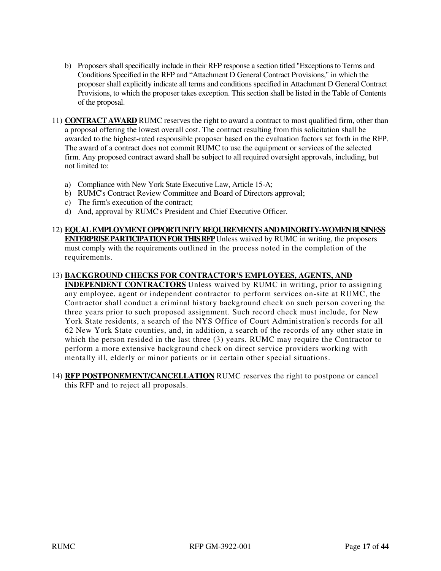- b) Proposers shall specifically include in their RFP response a section titled "Exceptions to Terms and Conditions Specified in the RFP and "Attachment D General Contract Provisions," in which the proposer shall explicitly indicate all terms and conditions specified in Attachment D General Contract Provisions, to which the proposer takes exception. This section shall be listed in the Table of Contents of the proposal.
- 11) **CONTRACT AWARD** RUMC reserves the right to award a contract to most qualified firm, other than a proposal offering the lowest overall cost. The contract resulting from this solicitation shall be awarded to the highest-rated responsible proposer based on the evaluation factors set forth in the RFP. The award of a contract does not commit RUMC to use the equipment or services of the selected firm. Any proposed contract award shall be subject to all required oversight approvals, including, but not limited to:
	- a) Compliance with New York State Executive Law, Article 15-A;
	- b) RUMC's Contract Review Committee and Board of Directors approval;
	- c) The firm's execution of the contract;
	- d) And, approval by RUMC's President and Chief Executive Officer.
- 12) **EQUAL EMPLOYMENT OPPORTUNITY REQUIREMENTS AND MINORITY-WOMEN BUSINESS ENTERPRISE PARTICIPATION FOR THIS RFP** Unless waived by RUMC in writing, the proposers must comply with the requirements outlined in the process noted in the completion of the requirements.

# 13) **BACKGROUND CHECKS FOR CONTRACTOR'S EMPLOYEES, AGENTS, AND**

**INDEPENDENT CONTRACTORS** Unless waived by RUMC in writing, prior to assigning any employee, agent or independent contractor to perform services on-site at RUMC, the Contractor shall conduct a criminal history background check on such person covering the three years prior to such proposed assignment. Such record check must include, for New York State residents, a search of the NYS Office of Court Administration's records for all 62 New York State counties, and, in addition, a search of the records of any other state in which the person resided in the last three  $(3)$  years. RUMC may require the Contractor to perform a more extensive background check on direct service providers working with mentally ill, elderly or minor patients or in certain other special situations.

14) **RFP POSTPONEMENT/CANCELLATION** RUMC reserves the right to postpone or cancel this RFP and to reject all proposals.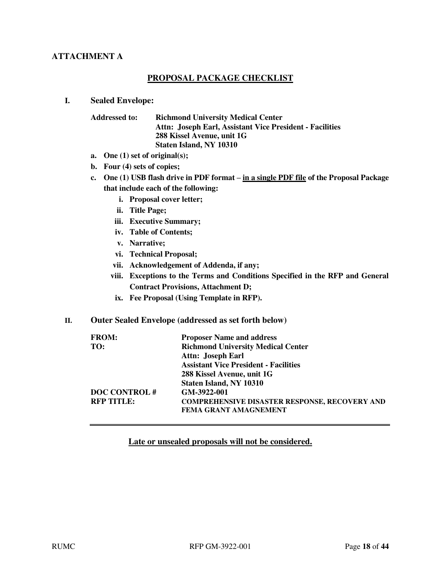# **ATTACHMENT A**

# **PROPOSAL PACKAGE CHECKLIST**

#### **I. Sealed Envelope:**

| <b>Addressed to:</b> | <b>Richmond University Medical Center</b><br>Attn: Joseph Earl, Assistant Vice President - Facilities |
|----------------------|-------------------------------------------------------------------------------------------------------|
|                      | 288 Kissel Avenue, unit 1G                                                                            |
|                      | Staten Island, NY 10310                                                                               |

- **a. One (1) set of original(s);**
- **b. Four (4) sets of copies;**
- **c. One (1) USB flash drive in PDF format – in a single PDF file of the Proposal Package that include each of the following:** 
	- **i. Proposal cover letter;**
	- **ii. Title Page;**
	- **iii. Executive Summary;**
	- **iv. Table of Contents;**
	- **v. Narrative;**
	- **vi. Technical Proposal;**
	- **vii. Acknowledgement of Addenda, if any;**
	- **viii. Exceptions to the Terms and Conditions Specified in the RFP and General Contract Provisions, Attachment D;**
	- **ix. Fee Proposal (Using Template in RFP).**
- **II. Outer Sealed Envelope (addressed as set forth below)**

| <b>FROM:</b>        | <b>Proposer Name and address</b>                     |
|---------------------|------------------------------------------------------|
| TO:                 | <b>Richmond University Medical Center</b>            |
|                     | <b>Attn: Joseph Earl</b>                             |
|                     | <b>Assistant Vice President - Facilities</b>         |
|                     | 288 Kissel Avenue, unit 1G                           |
|                     | Staten Island, NY 10310                              |
| <b>DOC CONTROL#</b> | GM-3922-001                                          |
| <b>RFP TITLE:</b>   | <b>COMPREHENSIVE DISASTER RESPONSE, RECOVERY AND</b> |
|                     | <b>FEMA GRANT AMAGNEMENT</b>                         |

#### **Late or unsealed proposals will not be considered.**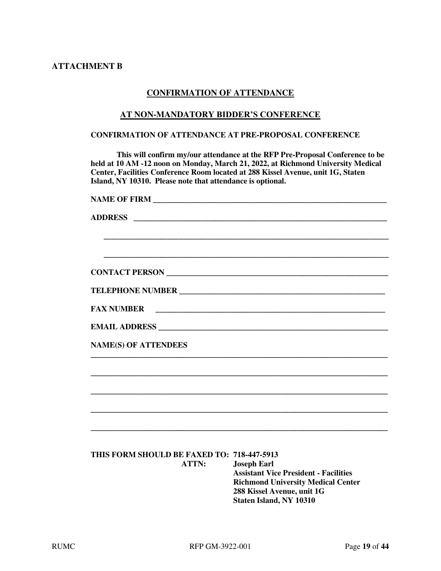# **ATTACHMENT B**

# **CONFIRMATION OF ATTENDANCE**

#### **AT NON-MANDATORY BIDDER'S CONFERENCE**

#### **CONFIRMATION OF ATTENDANCE AT PRE-PROPOSAL CONFERENCE**

**This will confirm my/our attendance at the RFP Pre-Proposal Conference to be held at 10 AM -12 noon on Monday, March 21, 2022, at Richmond University Medical Center, Facilities Conference Room located at 288 Kissel Avenue, unit 1G, Staten Island, NY 10310. Please note that attendance is optional.** 

| <b>NAME OF FIRM</b>                                        |                                                                                                                                                                                 |
|------------------------------------------------------------|---------------------------------------------------------------------------------------------------------------------------------------------------------------------------------|
| <b>ADDRESS</b>                                             |                                                                                                                                                                                 |
|                                                            |                                                                                                                                                                                 |
|                                                            |                                                                                                                                                                                 |
|                                                            |                                                                                                                                                                                 |
|                                                            |                                                                                                                                                                                 |
| <b>FAX NUMBER</b>                                          |                                                                                                                                                                                 |
|                                                            |                                                                                                                                                                                 |
| <b>NAME(S) OF ATTENDEES</b>                                |                                                                                                                                                                                 |
|                                                            |                                                                                                                                                                                 |
|                                                            |                                                                                                                                                                                 |
|                                                            |                                                                                                                                                                                 |
|                                                            |                                                                                                                                                                                 |
|                                                            |                                                                                                                                                                                 |
| THIS FORM SHOULD BE FAXED TO: 718-447-5913<br><b>ATTN:</b> | <b>Joseph Earl</b><br><b>Assistant Vice President - Facilities</b><br><b>Richmond University Medical Center</b><br>288 Kissel Avenue, unit 1G<br><b>Staten Island, NY 10310</b> |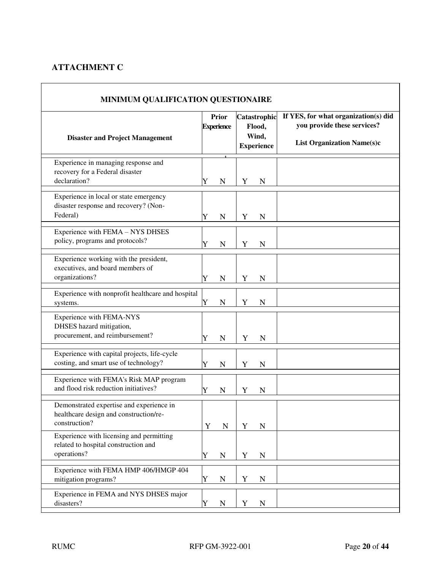# **ATTACHMENT C**

| MINIMUM QUALIFICATION QUESTIONAIRE                                                                  |                            |             |             |             |                                                      |  |                                                                                                          |
|-----------------------------------------------------------------------------------------------------|----------------------------|-------------|-------------|-------------|------------------------------------------------------|--|----------------------------------------------------------------------------------------------------------|
| <b>Disaster and Project Management</b>                                                              | Prior<br><b>Experience</b> |             |             |             | Catastrophic<br>Flood,<br>Wind,<br><b>Experience</b> |  | If YES, for what organization(s) did<br>you provide these services?<br><b>List Organization Name(s)c</b> |
| Experience in managing response and<br>recovery for a Federal disaster<br>declaration?              | Y                          | $\mathbf N$ | Y           | $\mathbf N$ |                                                      |  |                                                                                                          |
| Experience in local or state emergency<br>disaster response and recovery? (Non-<br>Federal)         | Y                          | N           | Y           | $\mathbf N$ |                                                      |  |                                                                                                          |
| Experience with FEMA - NYS DHSES<br>policy, programs and protocols?                                 | Y                          | $\mathbf N$ | Y           | N           |                                                      |  |                                                                                                          |
| Experience working with the president,<br>executives, and board members of<br>organizations?        | Y                          | ${\bf N}$   | Y           | N           |                                                      |  |                                                                                                          |
| Experience with nonprofit healthcare and hospital<br>systems.                                       | Y                          | ${\bf N}$   | Y           | $\mathbf N$ |                                                      |  |                                                                                                          |
| Experience with FEMA-NYS<br>DHSES hazard mitigation,<br>procurement, and reimbursement?             | Y                          | $\mathbf N$ | Y           | $\mathbf N$ |                                                      |  |                                                                                                          |
| Experience with capital projects, life-cycle<br>costing, and smart use of technology?               | Y                          | N           | Y           | N           |                                                      |  |                                                                                                          |
| Experience with FEMA's Risk MAP program<br>and flood risk reduction initiatives?                    | Y                          | N           | Y           | N           |                                                      |  |                                                                                                          |
| Demonstrated expertise and experience in<br>healthcare design and construction/re-<br>construction? | Y                          | ${\bf N}$   | Y           | ${\bf N}$   |                                                      |  |                                                                                                          |
| Experience with licensing and permitting<br>related to hospital construction and<br>operations?     | Y                          | ${\bf N}$   | Y           | N           |                                                      |  |                                                                                                          |
| Experience with FEMA HMP 406/HMGP 404<br>mitigation programs?                                       | Y                          | ${\bf N}$   | $\mathbf Y$ | ${\bf N}$   |                                                      |  |                                                                                                          |
| Experience in FEMA and NYS DHSES major<br>disasters?                                                | Y                          | ${\bf N}$   | Y           | N           |                                                      |  |                                                                                                          |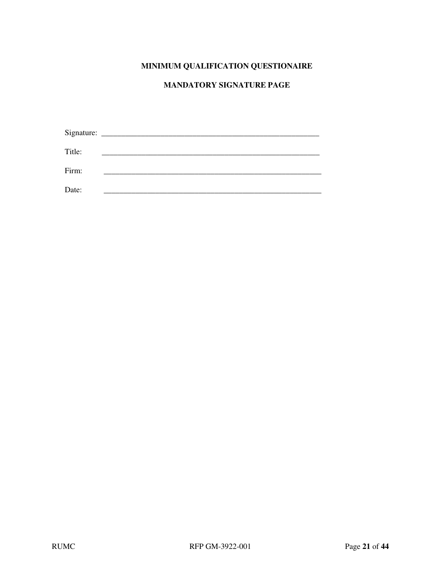# **MINIMUM QUALIFICATION QUESTIONAIRE**

# **MANDATORY SIGNATURE PAGE**

| Title: |  |
|--------|--|
| Firm:  |  |
| Date:  |  |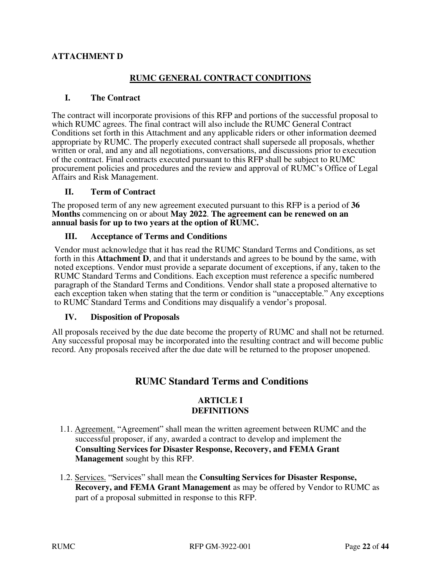# **ATTACHMENT D**

# **RUMC GENERAL CONTRACT CONDITIONS**

# **I. The Contract**

The contract will incorporate provisions of this RFP and portions of the successful proposal to which RUMC agrees. The final contract will also include the RUMC General Contract Conditions set forth in this Attachment and any applicable riders or other information deemed appropriate by RUMC. The properly executed contract shall supersede all proposals, whether written or oral, and any and all negotiations, conversations, and discussions prior to execution of the contract. Final contracts executed pursuant to this RFP shall be subject to RUMC procurement policies and procedures and the review and approval of RUMC's Office of Legal Affairs and Risk Management.

# **II. Term of Contract**

The proposed term of any new agreement executed pursuant to this RFP is a period of **36 Months** commencing on or about **May 2022**. **The agreement can be renewed on an annual basis for up to two years at the option of RUMC.**

# **III. Acceptance of Terms and Conditions**

Vendor must acknowledge that it has read the RUMC Standard Terms and Conditions, as set forth in this **Attachment D**, and that it understands and agrees to be bound by the same, with noted exceptions. Vendor must provide a separate document of exceptions, if any, taken to the RUMC Standard Terms and Conditions. Each exception must reference a specific numbered paragraph of the Standard Terms and Conditions. Vendor shall state a proposed alternative to each exception taken when stating that the term or condition is "unacceptable." Any exceptions to RUMC Standard Terms and Conditions may disqualify a vendor's proposal.

#### **IV. Disposition of Proposals**

All proposals received by the due date become the property of RUMC and shall not be returned. Any successful proposal may be incorporated into the resulting contract and will become public record. Any proposals received after the due date will be returned to the proposer unopened.

# **RUMC Standard Terms and Conditions**

# **ARTICLE I DEFINITIONS**

- 1.1. Agreement. "Agreement" shall mean the written agreement between RUMC and the successful proposer, if any, awarded a contract to develop and implement the **Consulting Services for Disaster Response, Recovery, and FEMA Grant Management** sought by this RFP.
- 1.2. Services. "Services" shall mean the **Consulting Services for Disaster Response, Recovery, and FEMA Grant Management** as may be offered by Vendor to RUMC as part of a proposal submitted in response to this RFP.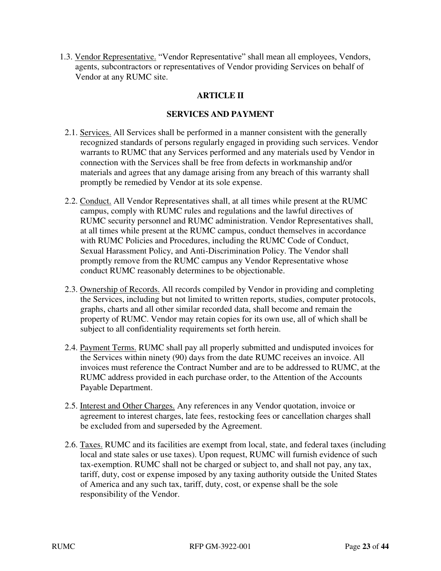1.3. Vendor Representative. "Vendor Representative" shall mean all employees, Vendors, agents, subcontractors or representatives of Vendor providing Services on behalf of Vendor at any RUMC site.

# **ARTICLE II**

# **SERVICES AND PAYMENT**

- 2.1. Services. All Services shall be performed in a manner consistent with the generally recognized standards of persons regularly engaged in providing such services. Vendor warrants to RUMC that any Services performed and any materials used by Vendor in connection with the Services shall be free from defects in workmanship and/or materials and agrees that any damage arising from any breach of this warranty shall promptly be remedied by Vendor at its sole expense.
- 2.2. Conduct. All Vendor Representatives shall, at all times while present at the RUMC campus, comply with RUMC rules and regulations and the lawful directives of RUMC security personnel and RUMC administration. Vendor Representatives shall, at all times while present at the RUMC campus, conduct themselves in accordance with RUMC Policies and Procedures, including the RUMC Code of Conduct, Sexual Harassment Policy, and Anti-Discrimination Policy. The Vendor shall promptly remove from the RUMC campus any Vendor Representative whose conduct RUMC reasonably determines to be objectionable.
- 2.3. Ownership of Records. All records compiled by Vendor in providing and completing the Services, including but not limited to written reports, studies, computer protocols, graphs, charts and all other similar recorded data, shall become and remain the property of RUMC. Vendor may retain copies for its own use, all of which shall be subject to all confidentiality requirements set forth herein.
- 2.4. Payment Terms. RUMC shall pay all properly submitted and undisputed invoices for the Services within ninety (90) days from the date RUMC receives an invoice. All invoices must reference the Contract Number and are to be addressed to RUMC, at the RUMC address provided in each purchase order, to the Attention of the Accounts Payable Department.
- 2.5. Interest and Other Charges. Any references in any Vendor quotation, invoice or agreement to interest charges, late fees, restocking fees or cancellation charges shall be excluded from and superseded by the Agreement.
- 2.6. Taxes. RUMC and its facilities are exempt from local, state, and federal taxes (including local and state sales or use taxes). Upon request, RUMC will furnish evidence of such tax-exemption. RUMC shall not be charged or subject to, and shall not pay, any tax, tariff, duty, cost or expense imposed by any taxing authority outside the United States of America and any such tax, tariff, duty, cost, or expense shall be the sole responsibility of the Vendor.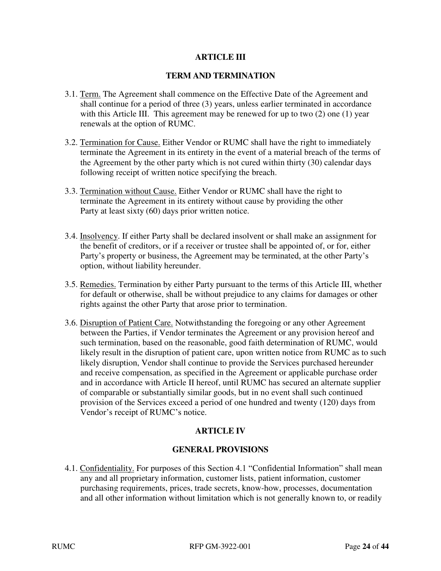# **ARTICLE III**

# **TERM AND TERMINATION**

- 3.1. Term. The Agreement shall commence on the Effective Date of the Agreement and shall continue for a period of three (3) years, unless earlier terminated in accordance with this Article III. This agreement may be renewed for up to two (2) one (1) year renewals at the option of RUMC.
- 3.2. Termination for Cause. Either Vendor or RUMC shall have the right to immediately terminate the Agreement in its entirety in the event of a material breach of the terms of the Agreement by the other party which is not cured within thirty (30) calendar days following receipt of written notice specifying the breach.
- 3.3. Termination without Cause. Either Vendor or RUMC shall have the right to terminate the Agreement in its entirety without cause by providing the other Party at least sixty (60) days prior written notice.
- 3.4. Insolvency. If either Party shall be declared insolvent or shall make an assignment for the benefit of creditors, or if a receiver or trustee shall be appointed of, or for, either Party's property or business, the Agreement may be terminated, at the other Party's option, without liability hereunder.
- 3.5. Remedies. Termination by either Party pursuant to the terms of this Article III, whether for default or otherwise, shall be without prejudice to any claims for damages or other rights against the other Party that arose prior to termination.
- 3.6. Disruption of Patient Care. Notwithstanding the foregoing or any other Agreement between the Parties, if Vendor terminates the Agreement or any provision hereof and such termination, based on the reasonable, good faith determination of RUMC, would likely result in the disruption of patient care, upon written notice from RUMC as to such likely disruption, Vendor shall continue to provide the Services purchased hereunder and receive compensation, as specified in the Agreement or applicable purchase order and in accordance with Article II hereof, until RUMC has secured an alternate supplier of comparable or substantially similar goods, but in no event shall such continued provision of the Services exceed a period of one hundred and twenty (120) days from Vendor's receipt of RUMC's notice.

# **ARTICLE IV**

# **GENERAL PROVISIONS**

4.1. Confidentiality. For purposes of this Section 4.1 "Confidential Information" shall mean any and all proprietary information, customer lists, patient information, customer purchasing requirements, prices, trade secrets, know-how, processes, documentation and all other information without limitation which is not generally known to, or readily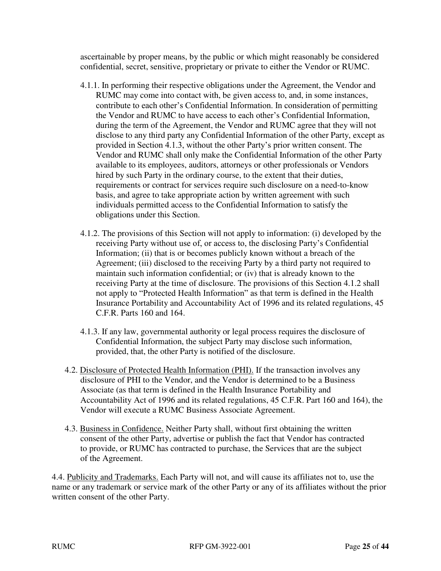ascertainable by proper means, by the public or which might reasonably be considered confidential, secret, sensitive, proprietary or private to either the Vendor or RUMC.

- 4.1.1. In performing their respective obligations under the Agreement, the Vendor and RUMC may come into contact with, be given access to, and, in some instances, contribute to each other's Confidential Information. In consideration of permitting the Vendor and RUMC to have access to each other's Confidential Information, during the term of the Agreement, the Vendor and RUMC agree that they will not disclose to any third party any Confidential Information of the other Party, except as provided in Section 4.1.3, without the other Party's prior written consent. The Vendor and RUMC shall only make the Confidential Information of the other Party available to its employees, auditors, attorneys or other professionals or Vendors hired by such Party in the ordinary course, to the extent that their duties, requirements or contract for services require such disclosure on a need-to-know basis, and agree to take appropriate action by written agreement with such individuals permitted access to the Confidential Information to satisfy the obligations under this Section.
- 4.1.2. The provisions of this Section will not apply to information: (i) developed by the receiving Party without use of, or access to, the disclosing Party's Confidential Information; (ii) that is or becomes publicly known without a breach of the Agreement; (iii) disclosed to the receiving Party by a third party not required to maintain such information confidential; or (iv) that is already known to the receiving Party at the time of disclosure. The provisions of this Section 4.1.2 shall not apply to "Protected Health Information" as that term is defined in the Health Insurance Portability and Accountability Act of 1996 and its related regulations, 45 C.F.R. Parts 160 and 164.
- 4.1.3. If any law, governmental authority or legal process requires the disclosure of Confidential Information, the subject Party may disclose such information, provided, that, the other Party is notified of the disclosure.
- 4.2. Disclosure of Protected Health Information (PHI). If the transaction involves any disclosure of PHI to the Vendor, and the Vendor is determined to be a Business Associate (as that term is defined in the Health Insurance Portability and Accountability Act of 1996 and its related regulations, 45 C.F.R. Part 160 and 164), the Vendor will execute a RUMC Business Associate Agreement.
- 4.3. Business in Confidence. Neither Party shall, without first obtaining the written consent of the other Party, advertise or publish the fact that Vendor has contracted to provide, or RUMC has contracted to purchase, the Services that are the subject of the Agreement.

4.4. Publicity and Trademarks. Each Party will not, and will cause its affiliates not to, use the name or any trademark or service mark of the other Party or any of its affiliates without the prior written consent of the other Party.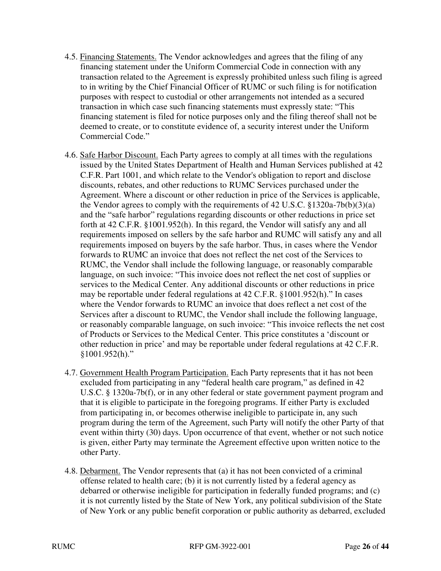- 4.5. Financing Statements. The Vendor acknowledges and agrees that the filing of any financing statement under the Uniform Commercial Code in connection with any transaction related to the Agreement is expressly prohibited unless such filing is agreed to in writing by the Chief Financial Officer of RUMC or such filing is for notification purposes with respect to custodial or other arrangements not intended as a secured transaction in which case such financing statements must expressly state: "This financing statement is filed for notice purposes only and the filing thereof shall not be deemed to create, or to constitute evidence of, a security interest under the Uniform Commercial Code."
- 4.6. Safe Harbor Discount. Each Party agrees to comply at all times with the regulations issued by the United States Department of Health and Human Services published at 42 C.F.R. Part 1001, and which relate to the Vendor's obligation to report and disclose discounts, rebates, and other reductions to RUMC Services purchased under the Agreement. Where a discount or other reduction in price of the Services is applicable, the Vendor agrees to comply with the requirements of 42 U.S.C. §1320a-7b(b)(3)(a) and the "safe harbor" regulations regarding discounts or other reductions in price set forth at 42 C.F.R. §1001.952(h). In this regard, the Vendor will satisfy any and all requirements imposed on sellers by the safe harbor and RUMC will satisfy any and all requirements imposed on buyers by the safe harbor. Thus, in cases where the Vendor forwards to RUMC an invoice that does not reflect the net cost of the Services to RUMC, the Vendor shall include the following language, or reasonably comparable language, on such invoice: "This invoice does not reflect the net cost of supplies or services to the Medical Center. Any additional discounts or other reductions in price may be reportable under federal regulations at 42 C.F.R. §1001.952(h)." In cases where the Vendor forwards to RUMC an invoice that does reflect a net cost of the Services after a discount to RUMC, the Vendor shall include the following language, or reasonably comparable language, on such invoice: "This invoice reflects the net cost of Products or Services to the Medical Center. This price constitutes a 'discount or other reduction in price' and may be reportable under federal regulations at 42 C.F.R.  $$1001.952(h)$ ."
- 4.7. Government Health Program Participation. Each Party represents that it has not been excluded from participating in any "federal health care program," as defined in 42 U.S.C. § 1320a-7b(f), or in any other federal or state government payment program and that it is eligible to participate in the foregoing programs. If either Party is excluded from participating in, or becomes otherwise ineligible to participate in, any such program during the term of the Agreement, such Party will notify the other Party of that event within thirty (30) days. Upon occurrence of that event, whether or not such notice is given, either Party may terminate the Agreement effective upon written notice to the other Party.
- 4.8. Debarment. The Vendor represents that (a) it has not been convicted of a criminal offense related to health care; (b) it is not currently listed by a federal agency as debarred or otherwise ineligible for participation in federally funded programs; and (c) it is not currently listed by the State of New York, any political subdivision of the State of New York or any public benefit corporation or public authority as debarred, excluded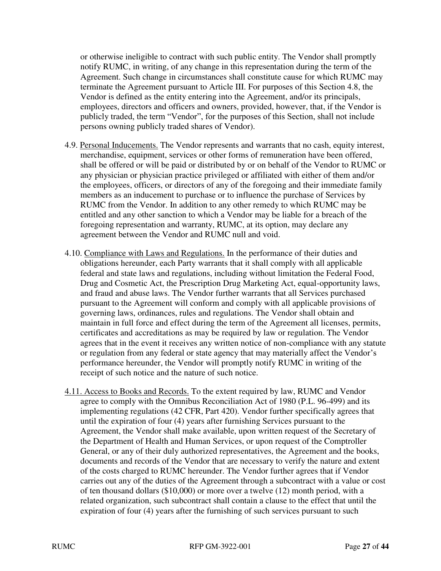or otherwise ineligible to contract with such public entity. The Vendor shall promptly notify RUMC, in writing, of any change in this representation during the term of the Agreement. Such change in circumstances shall constitute cause for which RUMC may terminate the Agreement pursuant to Article III. For purposes of this Section 4.8, the Vendor is defined as the entity entering into the Agreement, and/or its principals, employees, directors and officers and owners, provided, however, that, if the Vendor is publicly traded, the term "Vendor", for the purposes of this Section, shall not include persons owning publicly traded shares of Vendor).

- 4.9. Personal Inducements. The Vendor represents and warrants that no cash, equity interest, merchandise, equipment, services or other forms of remuneration have been offered, shall be offered or will be paid or distributed by or on behalf of the Vendor to RUMC or any physician or physician practice privileged or affiliated with either of them and/or the employees, officers, or directors of any of the foregoing and their immediate family members as an inducement to purchase or to influence the purchase of Services by RUMC from the Vendor. In addition to any other remedy to which RUMC may be entitled and any other sanction to which a Vendor may be liable for a breach of the foregoing representation and warranty, RUMC, at its option, may declare any agreement between the Vendor and RUMC null and void.
- 4.10. Compliance with Laws and Regulations. In the performance of their duties and obligations hereunder, each Party warrants that it shall comply with all applicable federal and state laws and regulations, including without limitation the Federal Food, Drug and Cosmetic Act, the Prescription Drug Marketing Act, equal-opportunity laws, and fraud and abuse laws. The Vendor further warrants that all Services purchased pursuant to the Agreement will conform and comply with all applicable provisions of governing laws, ordinances, rules and regulations. The Vendor shall obtain and maintain in full force and effect during the term of the Agreement all licenses, permits, certificates and accreditations as may be required by law or regulation. The Vendor agrees that in the event it receives any written notice of non-compliance with any statute or regulation from any federal or state agency that may materially affect the Vendor's performance hereunder, the Vendor will promptly notify RUMC in writing of the receipt of such notice and the nature of such notice.
- 4.11. Access to Books and Records. To the extent required by law, RUMC and Vendor agree to comply with the Omnibus Reconciliation Act of 1980 (P.L. 96-499) and its implementing regulations (42 CFR, Part 420). Vendor further specifically agrees that until the expiration of four (4) years after furnishing Services pursuant to the Agreement, the Vendor shall make available, upon written request of the Secretary of the Department of Health and Human Services, or upon request of the Comptroller General, or any of their duly authorized representatives, the Agreement and the books, documents and records of the Vendor that are necessary to verify the nature and extent of the costs charged to RUMC hereunder. The Vendor further agrees that if Vendor carries out any of the duties of the Agreement through a subcontract with a value or cost of ten thousand dollars (\$10,000) or more over a twelve (12) month period, with a related organization, such subcontract shall contain a clause to the effect that until the expiration of four (4) years after the furnishing of such services pursuant to such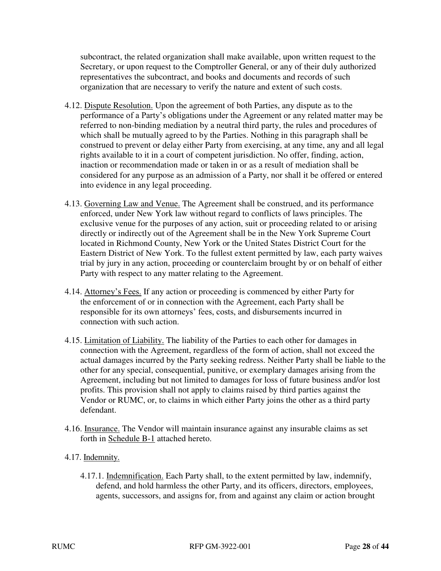subcontract, the related organization shall make available, upon written request to the Secretary, or upon request to the Comptroller General, or any of their duly authorized representatives the subcontract, and books and documents and records of such organization that are necessary to verify the nature and extent of such costs.

- 4.12. Dispute Resolution. Upon the agreement of both Parties, any dispute as to the performance of a Party's obligations under the Agreement or any related matter may be referred to non-binding mediation by a neutral third party, the rules and procedures of which shall be mutually agreed to by the Parties. Nothing in this paragraph shall be construed to prevent or delay either Party from exercising, at any time, any and all legal rights available to it in a court of competent jurisdiction. No offer, finding, action, inaction or recommendation made or taken in or as a result of mediation shall be considered for any purpose as an admission of a Party, nor shall it be offered or entered into evidence in any legal proceeding.
- 4.13. Governing Law and Venue. The Agreement shall be construed, and its performance enforced, under New York law without regard to conflicts of laws principles. The exclusive venue for the purposes of any action, suit or proceeding related to or arising directly or indirectly out of the Agreement shall be in the New York Supreme Court located in Richmond County, New York or the United States District Court for the Eastern District of New York. To the fullest extent permitted by law, each party waives trial by jury in any action, proceeding or counterclaim brought by or on behalf of either Party with respect to any matter relating to the Agreement.
- 4.14. Attorney's Fees. If any action or proceeding is commenced by either Party for the enforcement of or in connection with the Agreement, each Party shall be responsible for its own attorneys' fees, costs, and disbursements incurred in connection with such action.
- 4.15. Limitation of Liability. The liability of the Parties to each other for damages in connection with the Agreement, regardless of the form of action, shall not exceed the actual damages incurred by the Party seeking redress. Neither Party shall be liable to the other for any special, consequential, punitive, or exemplary damages arising from the Agreement, including but not limited to damages for loss of future business and/or lost profits. This provision shall not apply to claims raised by third parties against the Vendor or RUMC, or, to claims in which either Party joins the other as a third party defendant.
- 4.16. Insurance. The Vendor will maintain insurance against any insurable claims as set forth in Schedule B-1 attached hereto.
- 4.17. Indemnity.
	- 4.17.1. Indemnification. Each Party shall, to the extent permitted by law, indemnify, defend, and hold harmless the other Party, and its officers, directors, employees, agents, successors, and assigns for, from and against any claim or action brought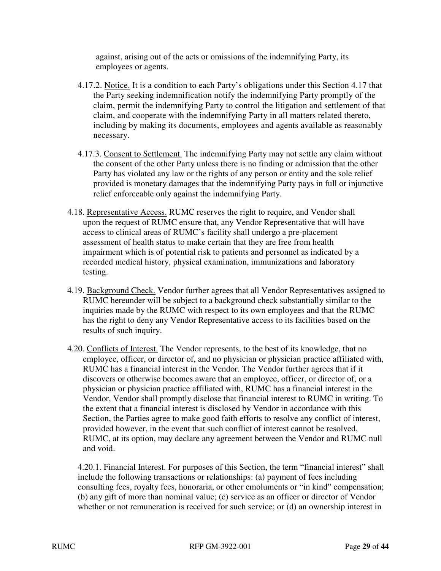against, arising out of the acts or omissions of the indemnifying Party, its employees or agents.

- 4.17.2. Notice. It is a condition to each Party's obligations under this Section 4.17 that the Party seeking indemnification notify the indemnifying Party promptly of the claim, permit the indemnifying Party to control the litigation and settlement of that claim, and cooperate with the indemnifying Party in all matters related thereto, including by making its documents, employees and agents available as reasonably necessary.
- 4.17.3. Consent to Settlement. The indemnifying Party may not settle any claim without the consent of the other Party unless there is no finding or admission that the other Party has violated any law or the rights of any person or entity and the sole relief provided is monetary damages that the indemnifying Party pays in full or injunctive relief enforceable only against the indemnifying Party.
- 4.18. Representative Access. RUMC reserves the right to require, and Vendor shall upon the request of RUMC ensure that, any Vendor Representative that will have access to clinical areas of RUMC's facility shall undergo a pre-placement assessment of health status to make certain that they are free from health impairment which is of potential risk to patients and personnel as indicated by a recorded medical history, physical examination, immunizations and laboratory testing.
- 4.19. Background Check. Vendor further agrees that all Vendor Representatives assigned to RUMC hereunder will be subject to a background check substantially similar to the inquiries made by the RUMC with respect to its own employees and that the RUMC has the right to deny any Vendor Representative access to its facilities based on the results of such inquiry.
- 4.20. Conflicts of Interest. The Vendor represents, to the best of its knowledge, that no employee, officer, or director of, and no physician or physician practice affiliated with, RUMC has a financial interest in the Vendor. The Vendor further agrees that if it discovers or otherwise becomes aware that an employee, officer, or director of, or a physician or physician practice affiliated with, RUMC has a financial interest in the Vendor, Vendor shall promptly disclose that financial interest to RUMC in writing. To the extent that a financial interest is disclosed by Vendor in accordance with this Section, the Parties agree to make good faith efforts to resolve any conflict of interest, provided however, in the event that such conflict of interest cannot be resolved, RUMC, at its option, may declare any agreement between the Vendor and RUMC null and void.

4.20.1. Financial Interest. For purposes of this Section, the term "financial interest" shall include the following transactions or relationships: (a) payment of fees including consulting fees, royalty fees, honoraria, or other emoluments or "in kind" compensation; (b) any gift of more than nominal value; (c) service as an officer or director of Vendor whether or not remuneration is received for such service; or (d) an ownership interest in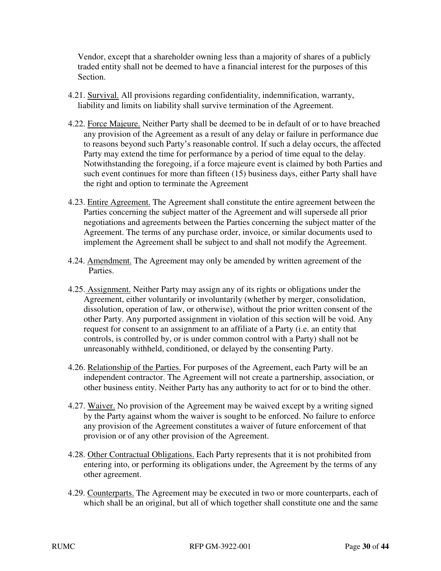Vendor, except that a shareholder owning less than a majority of shares of a publicly traded entity shall not be deemed to have a financial interest for the purposes of this Section.

- 4.21. Survival. All provisions regarding confidentiality, indemnification, warranty, liability and limits on liability shall survive termination of the Agreement.
- 4.22. Force Majeure. Neither Party shall be deemed to be in default of or to have breached any provision of the Agreement as a result of any delay or failure in performance due to reasons beyond such Party's reasonable control. If such a delay occurs, the affected Party may extend the time for performance by a period of time equal to the delay. Notwithstanding the foregoing, if a force majeure event is claimed by both Parties and such event continues for more than fifteen (15) business days, either Party shall have the right and option to terminate the Agreement
- 4.23. Entire Agreement. The Agreement shall constitute the entire agreement between the Parties concerning the subject matter of the Agreement and will supersede all prior negotiations and agreements between the Parties concerning the subject matter of the Agreement. The terms of any purchase order, invoice, or similar documents used to implement the Agreement shall be subject to and shall not modify the Agreement.
- 4.24. Amendment. The Agreement may only be amended by written agreement of the Parties.
- 4.25. Assignment. Neither Party may assign any of its rights or obligations under the Agreement, either voluntarily or involuntarily (whether by merger, consolidation, dissolution, operation of law, or otherwise), without the prior written consent of the other Party. Any purported assignment in violation of this section will be void. Any request for consent to an assignment to an affiliate of a Party (i.e. an entity that controls, is controlled by, or is under common control with a Party) shall not be unreasonably withheld, conditioned, or delayed by the consenting Party.
- 4.26. Relationship of the Parties. For purposes of the Agreement, each Party will be an independent contractor. The Agreement will not create a partnership, association, or other business entity. Neither Party has any authority to act for or to bind the other.
- 4.27. Waiver. No provision of the Agreement may be waived except by a writing signed by the Party against whom the waiver is sought to be enforced. No failure to enforce any provision of the Agreement constitutes a waiver of future enforcement of that provision or of any other provision of the Agreement.
- 4.28. Other Contractual Obligations. Each Party represents that it is not prohibited from entering into, or performing its obligations under, the Agreement by the terms of any other agreement.
- 4.29. Counterparts. The Agreement may be executed in two or more counterparts, each of which shall be an original, but all of which together shall constitute one and the same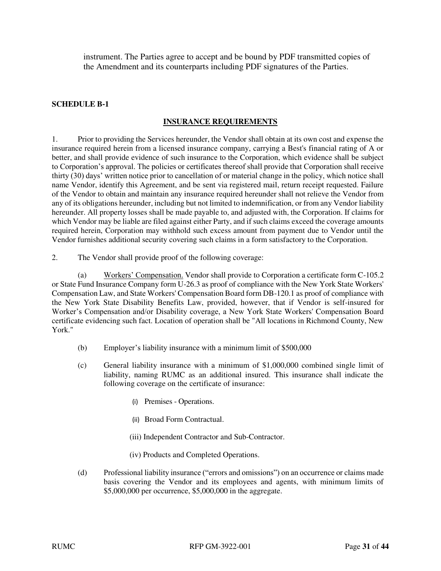instrument. The Parties agree to accept and be bound by PDF transmitted copies of the Amendment and its counterparts including PDF signatures of the Parties.

#### **SCHEDULE B**‐**1**

#### **INSURANCE REQUIREMENTS**

1. Prior to providing the Services hereunder, the Vendor shall obtain at its own cost and expense the insurance required herein from a licensed insurance company, carrying a Best's financial rating of A or better, and shall provide evidence of such insurance to the Corporation, which evidence shall be subject to Corporation's approval. The policies or certificates thereof shall provide that Corporation shall receive thirty (30) days' written notice prior to cancellation of or material change in the policy, which notice shall name Vendor, identify this Agreement, and be sent via registered mail, return receipt requested. Failure of the Vendor to obtain and maintain any insurance required hereunder shall not relieve the Vendor from any of its obligations hereunder, including but not limited to indemnification, or from any Vendor liability hereunder. All property losses shall be made payable to, and adjusted with, the Corporation. If claims for which Vendor may be liable are filed against either Party, and if such claims exceed the coverage amounts required herein, Corporation may withhold such excess amount from payment due to Vendor until the Vendor furnishes additional security covering such claims in a form satisfactory to the Corporation.

2. The Vendor shall provide proof of the following coverage:

(a) Workers' Compensation. Vendor shall provide to Corporation a certificate form C-105.2 or State Fund Insurance Company form U-26.3 as proof of compliance with the New York State Workers' Compensation Law, and State Workers' Compensation Board form DB-120.1 as proof of compliance with the New York State Disability Benefits Law, provided, however, that if Vendor is self-insured for Worker's Compensation and/or Disability coverage, a New York State Workers' Compensation Board certificate evidencing such fact. Location of operation shall be "All locations in Richmond County, New York."

- (b) Employer's liability insurance with a minimum limit of \$500,000
- (c) General liability insurance with a minimum of \$1,000,000 combined single limit of liability, naming RUMC as an additional insured. This insurance shall indicate the following coverage on the certificate of insurance:
	- (i) Premises Operations.
	- (ii) Broad Form Contractual.
	- (iii) Independent Contractor and Sub-Contractor.
	- (iv) Products and Completed Operations.
- (d) Professional liability insurance ("errors and omissions") on an occurrence or claims made basis covering the Vendor and its employees and agents, with minimum limits of \$5,000,000 per occurrence, \$5,000,000 in the aggregate.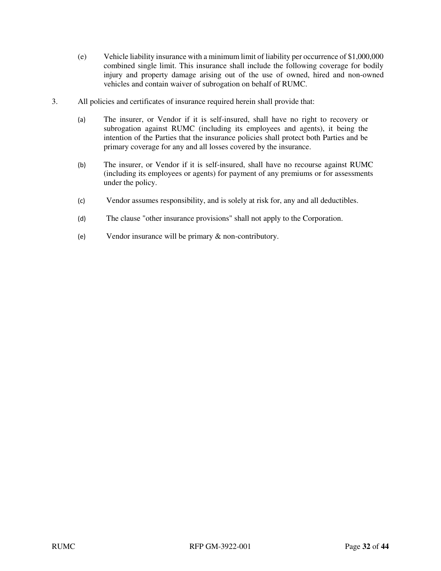- (e) Vehicle liability insurance with a minimum limit of liability per occurrence of \$1,000,000 combined single limit. This insurance shall include the following coverage for bodily injury and property damage arising out of the use of owned, hired and non-owned vehicles and contain waiver of subrogation on behalf of RUMC.
- 3. All policies and certificates of insurance required herein shall provide that:
	- (a) The insurer, or Vendor if it is self-insured, shall have no right to recovery or subrogation against RUMC (including its employees and agents), it being the intention of the Parties that the insurance policies shall protect both Parties and be primary coverage for any and all losses covered by the insurance.
	- (b) The insurer, or Vendor if it is self-insured, shall have no recourse against RUMC (including its employees or agents) for payment of any premiums or for assessments under the policy.
	- (c) Vendor assumes responsibility, and is solely at risk for, any and all deductibles.
	- (d) The clause "other insurance provisions" shall not apply to the Corporation.
	- (e) Vendor insurance will be primary & non-contributory.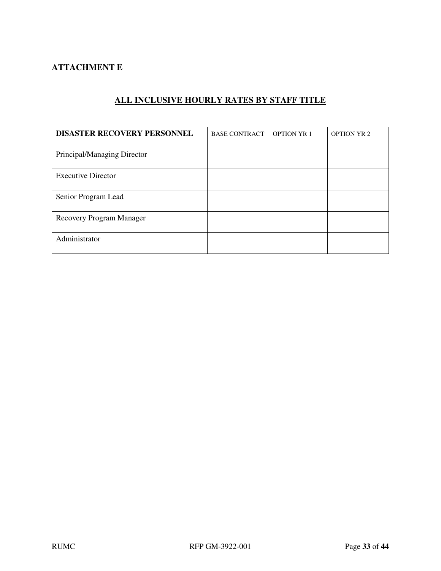# **ATTACHMENT E**

| <b>DISASTER RECOVERY PERSONNEL</b> | <b>BASE CONTRACT</b> | <b>OPTION YR 1</b> | <b>OPTION YR 2</b> |
|------------------------------------|----------------------|--------------------|--------------------|
| Principal/Managing Director        |                      |                    |                    |
| <b>Executive Director</b>          |                      |                    |                    |
| Senior Program Lead                |                      |                    |                    |
| Recovery Program Manager           |                      |                    |                    |
| Administrator                      |                      |                    |                    |

# **ALL INCLUSIVE HOURLY RATES BY STAFF TITLE**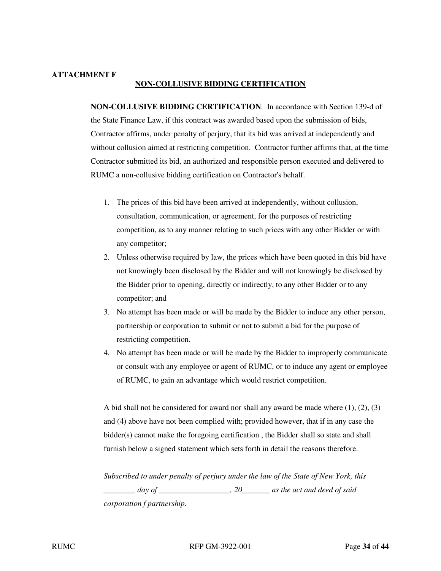#### **ATTACHMENT F NON-COLLUSIVE BIDDING CERTIFICATION**

**NON-COLLUSIVE BIDDING CERTIFICATION**. In accordance with Section 139-d of the State Finance Law, if this contract was awarded based upon the submission of bids, Contractor affirms, under penalty of perjury, that its bid was arrived at independently and without collusion aimed at restricting competition. Contractor further affirms that, at the time Contractor submitted its bid, an authorized and responsible person executed and delivered to RUMC a non-collusive bidding certification on Contractor's behalf.

- 1. The prices of this bid have been arrived at independently, without collusion, consultation, communication, or agreement, for the purposes of restricting competition, as to any manner relating to such prices with any other Bidder or with any competitor;
- 2. Unless otherwise required by law, the prices which have been quoted in this bid have not knowingly been disclosed by the Bidder and will not knowingly be disclosed by the Bidder prior to opening, directly or indirectly, to any other Bidder or to any competitor; and
- 3. No attempt has been made or will be made by the Bidder to induce any other person, partnership or corporation to submit or not to submit a bid for the purpose of restricting competition.
- 4. No attempt has been made or will be made by the Bidder to improperly communicate or consult with any employee or agent of RUMC, or to induce any agent or employee of RUMC, to gain an advantage which would restrict competition.

A bid shall not be considered for award nor shall any award be made where (1), (2), (3) and (4) above have not been complied with; provided however, that if in any case the bidder(s) cannot make the foregoing certification, the Bidder shall so state and shall furnish below a signed statement which sets forth in detail the reasons therefore.

*Subscribed to under penalty of perjury under the law of the State of New York, this \_\_\_\_\_\_\_\_ day of \_\_\_\_\_\_\_\_\_\_\_\_\_\_\_\_\_\_, 20\_\_\_\_\_\_\_ as the act and deed of said corporation f partnership.*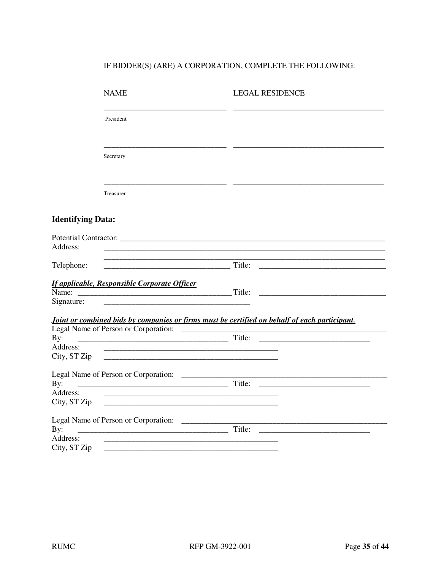# IF  $\mathsf{BIDDER}(\mathsf{S})$  (ARE) A CORPORATION, COMPLETE THE FOLLOWING:

|                                 | <b>NAME</b>                                                                                                                                                                  | <b>LEGAL RESIDENCE</b>                                                                        |
|---------------------------------|------------------------------------------------------------------------------------------------------------------------------------------------------------------------------|-----------------------------------------------------------------------------------------------|
|                                 | President                                                                                                                                                                    |                                                                                               |
|                                 | Secretary                                                                                                                                                                    |                                                                                               |
|                                 | Treasurer                                                                                                                                                                    |                                                                                               |
| <b>Identifying Data:</b>        |                                                                                                                                                                              |                                                                                               |
| Address:                        | Potential Contractor: Canadian Contractor: Canadian Contractor: Canadian Contractor:                                                                                         |                                                                                               |
| Telephone:                      | <u> 1989 - Johann John Stone, markin film yn y brenin y brenin y brenin y brenin y brenin y brenin y brenin y br</u><br>Title:                                               |                                                                                               |
| Signature:                      | <b>If applicable, Responsible Corporate Officer</b><br><u> 1989 - Johann Harry Harry Harry Harry Harry Harry Harry Harry Harry Harry Harry Harry Harry Harry Harry Harry</u> |                                                                                               |
|                                 |                                                                                                                                                                              | Joint or combined bids by companies or firms must be certified on behalf of each participant. |
| By:<br>Address:<br>City, ST Zip | <u> 1989 - Johann Stoff, deutscher Stoff, der Stoff, der Stoff, der Stoff, der Stoff, der Stoff, der Stoff, der S</u>                                                        | Title:                                                                                        |
| By:<br>Address:                 |                                                                                                                                                                              |                                                                                               |
| City, ST Zip<br>By:<br>Address: |                                                                                                                                                                              | Title:                                                                                        |
| City, ST Zip                    |                                                                                                                                                                              |                                                                                               |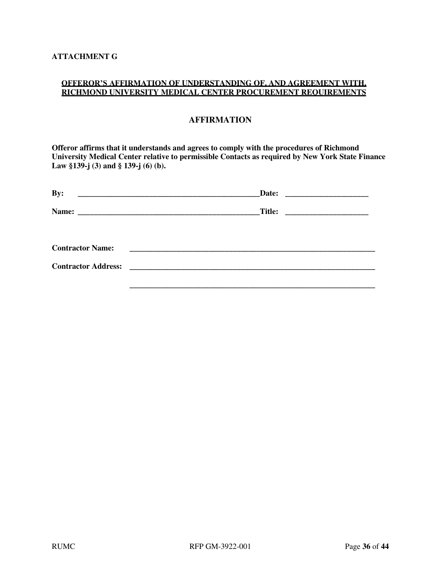#### **OFFEROR'S AFFIRMATION OF UNDERSTANDING OF, AND AGREEMENT WITH, RICHMOND UNIVERSITY MEDICAL CENTER PROCUREMENT REQUIREMENTS**

# **AFFIRMATION**

**Offeror affirms that it understands and agrees to comply with the procedures of Richmond University Medical Center relative to permissible Contacts as required by New York State Finance Law §139-j (3) and § 139-j (6) (b).** 

| By:                     |  |
|-------------------------|--|
|                         |  |
|                         |  |
| <b>Contractor Name:</b> |  |
|                         |  |
|                         |  |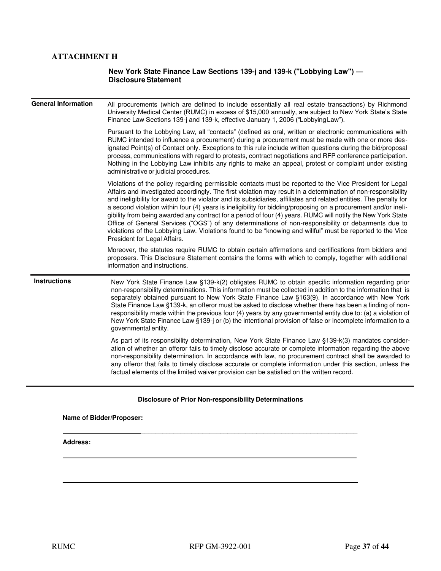# **ATTACHMENT H**

#### **New York State Finance Law Sections 139-j and 139-k ("Lobbying Law") — Disclosure Statement**

| <b>General Information</b> | All procurements (which are defined to include essentially all real estate transactions) by Richmond<br>University Medical Center (RUMC) in excess of \$15,000 annually, are subject to New York State's State<br>Finance Law Sections 139-j and 139-k, effective January 1, 2006 ("Lobbying Law").                                                                                                                                                                                                                                                                                                                                                                                                                                                                                                                                   |
|----------------------------|---------------------------------------------------------------------------------------------------------------------------------------------------------------------------------------------------------------------------------------------------------------------------------------------------------------------------------------------------------------------------------------------------------------------------------------------------------------------------------------------------------------------------------------------------------------------------------------------------------------------------------------------------------------------------------------------------------------------------------------------------------------------------------------------------------------------------------------|
|                            | Pursuant to the Lobbying Law, all "contacts" (defined as oral, written or electronic communications with<br>RUMC intended to influence a procurement) during a procurement must be made with one or more des-<br>ignated Point(s) of Contact only. Exceptions to this rule include written questions during the bid/proposal<br>process, communications with regard to protests, contract negotiations and RFP conference participation.<br>Nothing in the Lobbying Law inhibits any rights to make an appeal, protest or complaint under existing<br>administrative or judicial procedures.                                                                                                                                                                                                                                          |
|                            | Violations of the policy regarding permissible contacts must be reported to the Vice President for Legal<br>Affairs and investigated accordingly. The first violation may result in a determination of non-responsibility<br>and ineligibility for award to the violator and its subsidiaries, affiliates and related entities. The penalty for<br>a second violation within four (4) years is ineligibility for bidding/proposing on a procurement and/or ineli-<br>gibility from being awarded any contract for a period of four (4) years. RUMC will notify the New York State<br>Office of General Services ("OGS") of any determinations of non-responsibility or debarments due to<br>violations of the Lobbying Law. Violations found to be "knowing and willful" must be reported to the Vice<br>President for Legal Affairs. |
|                            | Moreover, the statutes require RUMC to obtain certain affirmations and certifications from bidders and<br>proposers. This Disclosure Statement contains the forms with which to comply, together with additional<br>information and instructions.                                                                                                                                                                                                                                                                                                                                                                                                                                                                                                                                                                                     |
| <b>Instructions</b>        | New York State Finance Law §139-k(2) obligates RUMC to obtain specific information regarding prior<br>non-responsibility determinations. This information must be collected in addition to the information that is<br>separately obtained pursuant to New York State Finance Law §163(9). In accordance with New York<br>State Finance Law §139-k, an offeror must be asked to disclose whether there has been a finding of non-<br>responsibility made within the previous four (4) years by any governmental entity due to: (a) a violation of<br>New York State Finance Law §139-j or (b) the intentional provision of false or incomplete information to a<br>governmental entity.                                                                                                                                                |
|                            | As part of its responsibility determination, New York State Finance Law §139-k(3) mandates consider-<br>ation of whether an offeror fails to timely disclose accurate or complete information regarding the above<br>non-responsibility determination. In accordance with law, no procurement contract shall be awarded to<br>any offeror that fails to timely disclose accurate or complete information under this section, unless the<br>factual elements of the limited waiver provision can be satisfied on the written record.                                                                                                                                                                                                                                                                                                   |

#### **Disclosure of Prior Non-responsibility Determinations**

 **\_\_\_\_\_\_\_\_\_\_\_\_\_\_\_\_\_\_\_\_\_\_\_\_\_\_\_\_\_\_\_\_\_\_\_\_\_\_\_\_\_\_\_\_\_\_\_\_\_\_\_\_\_\_\_\_\_\_\_\_** 

and the control of the control of the control of the control of the control of the control of the control of the

**\_\_\_\_\_\_\_\_\_\_\_\_\_\_\_\_\_\_\_\_\_\_\_\_\_\_\_\_\_\_\_\_\_\_\_\_\_\_\_\_\_\_\_\_\_\_\_\_\_\_\_\_\_\_\_\_\_\_\_\_**

#### **Name of Bidder/Proposer:**

**Address:**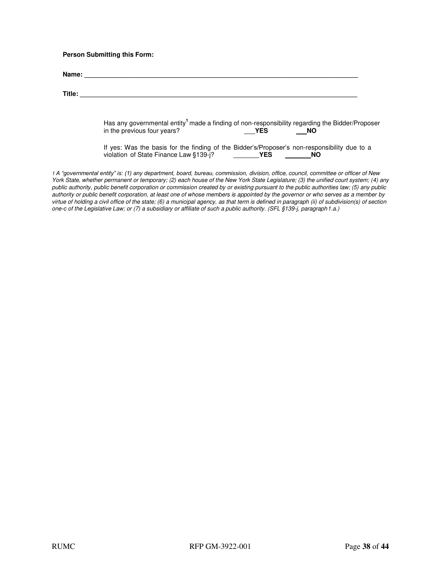#### **Person Submitting this Form:**

| Title: |                                                                                                                                                                       |
|--------|-----------------------------------------------------------------------------------------------------------------------------------------------------------------------|
|        | Has any governmental entity <sup>1</sup> made a finding of non-responsibility regarding the Bidder/Proposer<br>in the previous four years?<br><b>YES</b><br><b>NO</b> |
|        | If yes: Was the basis for the finding of the Bidder's/Proposer's non-responsibility due to a<br>violation of State Finance Law §139-j? YES<br>NO.                     |

York State, whether permanent or temporary; (2) each house of the New York State Legislature; (3) the unified court system; (4) any public authority, public benefit corporation or commission created by or existing pursuant to the public authorities law; (5) any public authority or public benefit corporation, at least one of whose members is appointed by the governor or who serves as a member by virtue of holding a civil office of the state; (6) a municipal agency, as that term is defined in paragraph (ii) of subdivision(s) of section one-c of the Legislative Law; or (7) a subsidiary or affiliate of such a public authority. (SFL §139-j, paragraph 1.a.)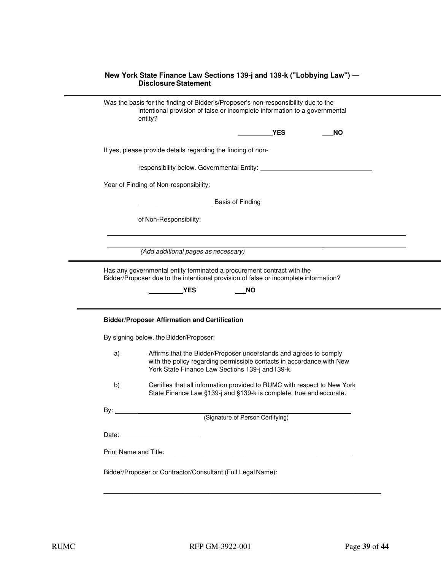|    | Was the basis for the finding of Bidder's/Proposer's non-responsibility due to the<br>intentional provision of false or incomplete information to a governmental<br>entity?                                                              |
|----|------------------------------------------------------------------------------------------------------------------------------------------------------------------------------------------------------------------------------------------|
|    | <b>YES</b><br>ΝO                                                                                                                                                                                                                         |
|    | If yes, please provide details regarding the finding of non-                                                                                                                                                                             |
|    | responsibility below. Governmental Entity: Network and Separate and Separate and Separate and Separate and Sepa                                                                                                                          |
|    | Year of Finding of Non-responsibility:                                                                                                                                                                                                   |
|    | <b>Basis of Finding</b>                                                                                                                                                                                                                  |
|    | of Non-Responsibility:                                                                                                                                                                                                                   |
|    |                                                                                                                                                                                                                                          |
|    | (Add additional pages as necessary)<br>Has any governmental entity terminated a procurement contract with the<br>Bidder/Proposer due to the intentional provision of false or incomplete information?                                    |
|    | <b>NO</b><br><b>YES</b>                                                                                                                                                                                                                  |
|    | <b>Bidder/Proposer Affirmation and Certification</b>                                                                                                                                                                                     |
| a) | By signing below, the Bidder/Proposer:<br>Affirms that the Bidder/Proposer understands and agrees to comply<br>with the policy regarding permissible contacts in accordance with New<br>York State Finance Law Sections 139-j and 139-k. |
| b) | Certifies that all information provided to RUMC with respect to New York<br>State Finance Law §139-j and §139-k is complete, true and accurate                                                                                           |
|    |                                                                                                                                                                                                                                          |
|    |                                                                                                                                                                                                                                          |

\_\_\_\_\_\_\_\_\_\_\_\_\_\_\_\_\_\_\_\_\_\_\_\_\_\_\_\_\_\_\_\_\_\_\_\_\_\_\_\_\_\_\_\_\_\_\_\_\_\_\_\_\_\_\_\_\_\_\_\_\_\_\_\_\_\_\_\_\_\_\_\_\_\_\_\_\_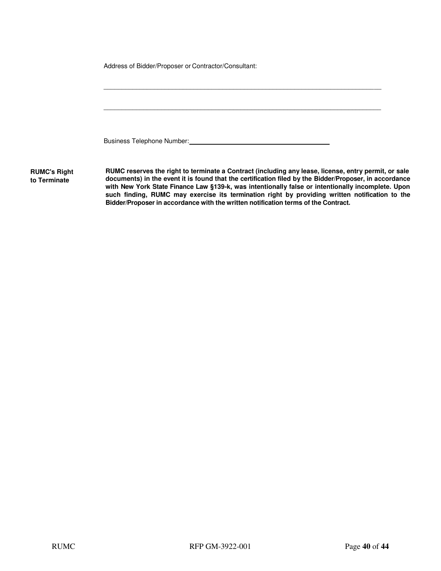|                                     | Address of Bidder/Proposer or Contractor/Consultant:                                                                                                                                          |
|-------------------------------------|-----------------------------------------------------------------------------------------------------------------------------------------------------------------------------------------------|
|                                     |                                                                                                                                                                                               |
|                                     |                                                                                                                                                                                               |
|                                     |                                                                                                                                                                                               |
|                                     |                                                                                                                                                                                               |
|                                     | Business Telephone Number:                                                                                                                                                                    |
| <b>RUMC's Right</b><br>to Terminate | RUMC reserves the right to terminate a Contract (including any lease, license, entry permi<br>documents) in the event it is found that the certification filed by the Bidder/Proposer, in act |

**Rumit, or sale<br>accordance documents) in the event it is found that the certification filed by the Bidder/Proposer, in accordance with New York State Finance Law §139-k, was intentionally false or intentionally incomplete. Upon such finding, RUMC may exercise its termination right by providing written notification to the Bidder/Proposer in accordance with the written notification terms of the Contract.**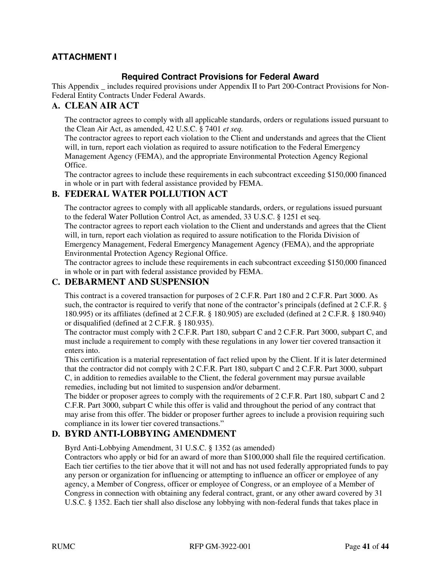# **ATTACHMENT I**

# **Required Contract Provisions for Federal Award**

This Appendix \_ includes required provisions under Appendix II to Part 200-Contract Provisions for Non-Federal Entity Contracts Under Federal Awards.

# **A. CLEAN AIR ACT**

The contractor agrees to comply with all applicable standards, orders or regulations issued pursuant to the Clean Air Act, as amended, 42 U.S.C. § 7401 *et seq.* 

The contractor agrees to report each violation to the Client and understands and agrees that the Client will, in turn, report each violation as required to assure notification to the Federal Emergency Management Agency (FEMA), and the appropriate Environmental Protection Agency Regional Office.

The contractor agrees to include these requirements in each subcontract exceeding \$150,000 financed in whole or in part with federal assistance provided by FEMA.

# **B. FEDERAL WATER POLLUTION ACT**

The contractor agrees to comply with all applicable standards, orders, or regulations issued pursuant to the federal Water Pollution Control Act, as amended, 33 U.S.C. § 1251 et seq.

The contractor agrees to report each violation to the Client and understands and agrees that the Client will, in turn, report each violation as required to assure notification to the Florida Division of Emergency Management, Federal Emergency Management Agency (FEMA), and the appropriate Environmental Protection Agency Regional Office.

The contractor agrees to include these requirements in each subcontract exceeding \$150,000 financed in whole or in part with federal assistance provided by FEMA.

# **C. DEBARMENT AND SUSPENSION**

This contract is a covered transaction for purposes of 2 C.F.R. Part 180 and 2 C.F.R. Part 3000. As such, the contractor is required to verify that none of the contractor's principals (defined at 2 C.F.R. § 180.995) or its affiliates (defined at 2 C.F.R. § 180.905) are excluded (defined at 2 C.F.R. § 180.940) or disqualified (defined at 2 C.F.R. § 180.935).

The contractor must comply with 2 C.F.R. Part 180, subpart C and 2 C.F.R. Part 3000, subpart C, and must include a requirement to comply with these regulations in any lower tier covered transaction it enters into.

This certification is a material representation of fact relied upon by the Client. If it is later determined that the contractor did not comply with 2 C.F.R. Part 180, subpart C and 2 C.F.R. Part 3000, subpart C, in addition to remedies available to the Client, the federal government may pursue available remedies, including but not limited to suspension and/or debarment.

The bidder or proposer agrees to comply with the requirements of 2 C.F.R. Part 180, subpart C and 2 C.F.R. Part 3000, subpart C while this offer is valid and throughout the period of any contract that may arise from this offer. The bidder or proposer further agrees to include a provision requiring such compliance in its lower tier covered transactions."

# **D. BYRD ANTI-LOBBYING AMENDMENT**

Byrd Anti-Lobbying Amendment, 31 U.S.C. § 1352 (as amended)

Contractors who apply or bid for an award of more than \$100,000 shall file the required certification. Each tier certifies to the tier above that it will not and has not used federally appropriated funds to pay any person or organization for influencing or attempting to influence an officer or employee of any agency, a Member of Congress, officer or employee of Congress, or an employee of a Member of Congress in connection with obtaining any federal contract, grant, or any other award covered by 31 U.S.C. § 1352. Each tier shall also disclose any lobbying with non-federal funds that takes place in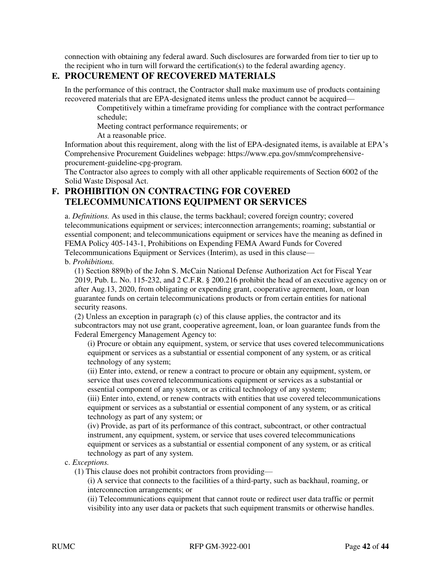connection with obtaining any federal award. Such disclosures are forwarded from tier to tier up to the recipient who in turn will forward the certification(s) to the federal awarding agency.

# **E. PROCUREMENT OF RECOVERED MATERIALS**

In the performance of this contract, the Contractor shall make maximum use of products containing recovered materials that are EPA-designated items unless the product cannot be acquired—

Competitively within a timeframe providing for compliance with the contract performance schedule;

Meeting contract performance requirements; or

At a reasonable price.

Information about this requirement, along with the list of EPA-designated items, is available at EPA's Comprehensive Procurement Guidelines webpage: https://www.epa.gov/smm/comprehensiveprocurement-guideline-cpg-program.

The Contractor also agrees to comply with all other applicable requirements of Section 6002 of the Solid Waste Disposal Act.

# **F. PROHIBITION ON CONTRACTING FOR COVERED TELECOMMUNICATIONS EQUIPMENT OR SERVICES**

a. *Definitions.* As used in this clause, the terms backhaul; covered foreign country; covered telecommunications equipment or services; interconnection arrangements; roaming; substantial or essential component; and telecommunications equipment or services have the meaning as defined in FEMA Policy 405-143-1, Prohibitions on Expending FEMA Award Funds for Covered Telecommunications Equipment or Services (Interim), as used in this clause—

# b. *Prohibitions.*

(1) Section 889(b) of the John S. McCain National Defense Authorization Act for Fiscal Year 2019, Pub. L. No. 115-232, and 2 C.F.R. § 200.216 prohibit the head of an executive agency on or after Aug.13, 2020, from obligating or expending grant, cooperative agreement, loan, or loan guarantee funds on certain telecommunications products or from certain entities for national security reasons.

(2) Unless an exception in paragraph (c) of this clause applies, the contractor and its subcontractors may not use grant, cooperative agreement, loan, or loan guarantee funds from the Federal Emergency Management Agency to:

(i) Procure or obtain any equipment, system, or service that uses covered telecommunications equipment or services as a substantial or essential component of any system, or as critical technology of any system;

(ii) Enter into, extend, or renew a contract to procure or obtain any equipment, system, or service that uses covered telecommunications equipment or services as a substantial or essential component of any system, or as critical technology of any system;

(iii) Enter into, extend, or renew contracts with entities that use covered telecommunications equipment or services as a substantial or essential component of any system, or as critical technology as part of any system; or

(iv) Provide, as part of its performance of this contract, subcontract, or other contractual instrument, any equipment, system, or service that uses covered telecommunications equipment or services as a substantial or essential component of any system, or as critical technology as part of any system.

c. *Exceptions.* 

(1) This clause does not prohibit contractors from providing—

(i) A service that connects to the facilities of a third-party, such as backhaul, roaming, or interconnection arrangements; or

(ii) Telecommunications equipment that cannot route or redirect user data traffic or permit visibility into any user data or packets that such equipment transmits or otherwise handles.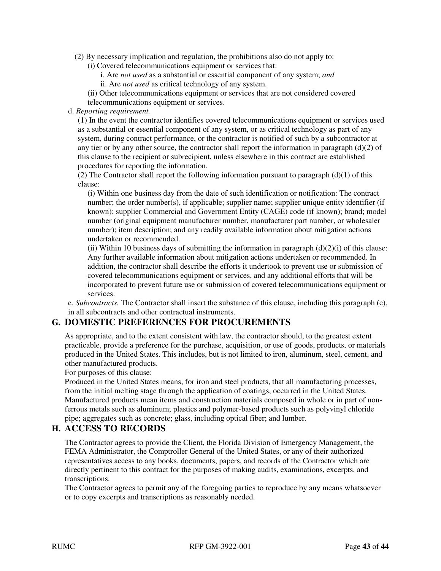- (2) By necessary implication and regulation, the prohibitions also do not apply to:
	- (i) Covered telecommunications equipment or services that:
		- i. Are *not used* as a substantial or essential component of any system; *and*
		- ii. Are *not used* as critical technology of any system.

(ii) Other telecommunications equipment or services that are not considered covered telecommunications equipment or services.

#### d. *Reporting requirement.*

(1) In the event the contractor identifies covered telecommunications equipment or services used as a substantial or essential component of any system, or as critical technology as part of any system, during contract performance, or the contractor is notified of such by a subcontractor at any tier or by any other source, the contractor shall report the information in paragraph  $(d)(2)$  of this clause to the recipient or subrecipient, unless elsewhere in this contract are established procedures for reporting the information*.* 

(2) The Contractor shall report the following information pursuant to paragraph  $(d)(1)$  of this clause:

(i) Within one business day from the date of such identification or notification: The contract number; the order number(s), if applicable; supplier name; supplier unique entity identifier (if known); supplier Commercial and Government Entity (CAGE) code (if known); brand; model number (original equipment manufacturer number, manufacturer part number, or wholesaler number); item description; and any readily available information about mitigation actions undertaken or recommended.

(ii) Within 10 business days of submitting the information in paragraph  $(d)(2)(i)$  of this clause: Any further available information about mitigation actions undertaken or recommended. In addition, the contractor shall describe the efforts it undertook to prevent use or submission of covered telecommunications equipment or services, and any additional efforts that will be incorporated to prevent future use or submission of covered telecommunications equipment or services.

e. *Subcontracts.* The Contractor shall insert the substance of this clause, including this paragraph (e), in all subcontracts and other contractual instruments.

# **G. DOMESTIC PREFERENCES FOR PROCUREMENTS**

As appropriate, and to the extent consistent with law, the contractor should, to the greatest extent practicable, provide a preference for the purchase, acquisition, or use of goods, products, or materials produced in the United States. This includes, but is not limited to iron, aluminum, steel, cement, and other manufactured products.

For purposes of this clause:

Produced in the United States means, for iron and steel products, that all manufacturing processes, from the initial melting stage through the application of coatings, occurred in the United States. Manufactured products mean items and construction materials composed in whole or in part of nonferrous metals such as aluminum; plastics and polymer-based products such as polyvinyl chloride pipe; aggregates such as concrete; glass, including optical fiber; and lumber.

# **H. ACCESS TO RECORDS**

The Contractor agrees to provide the Client, the Florida Division of Emergency Management, the FEMA Administrator, the Comptroller General of the United States, or any of their authorized representatives access to any books, documents, papers, and records of the Contractor which are directly pertinent to this contract for the purposes of making audits, examinations, excerpts, and transcriptions.

The Contractor agrees to permit any of the foregoing parties to reproduce by any means whatsoever or to copy excerpts and transcriptions as reasonably needed.